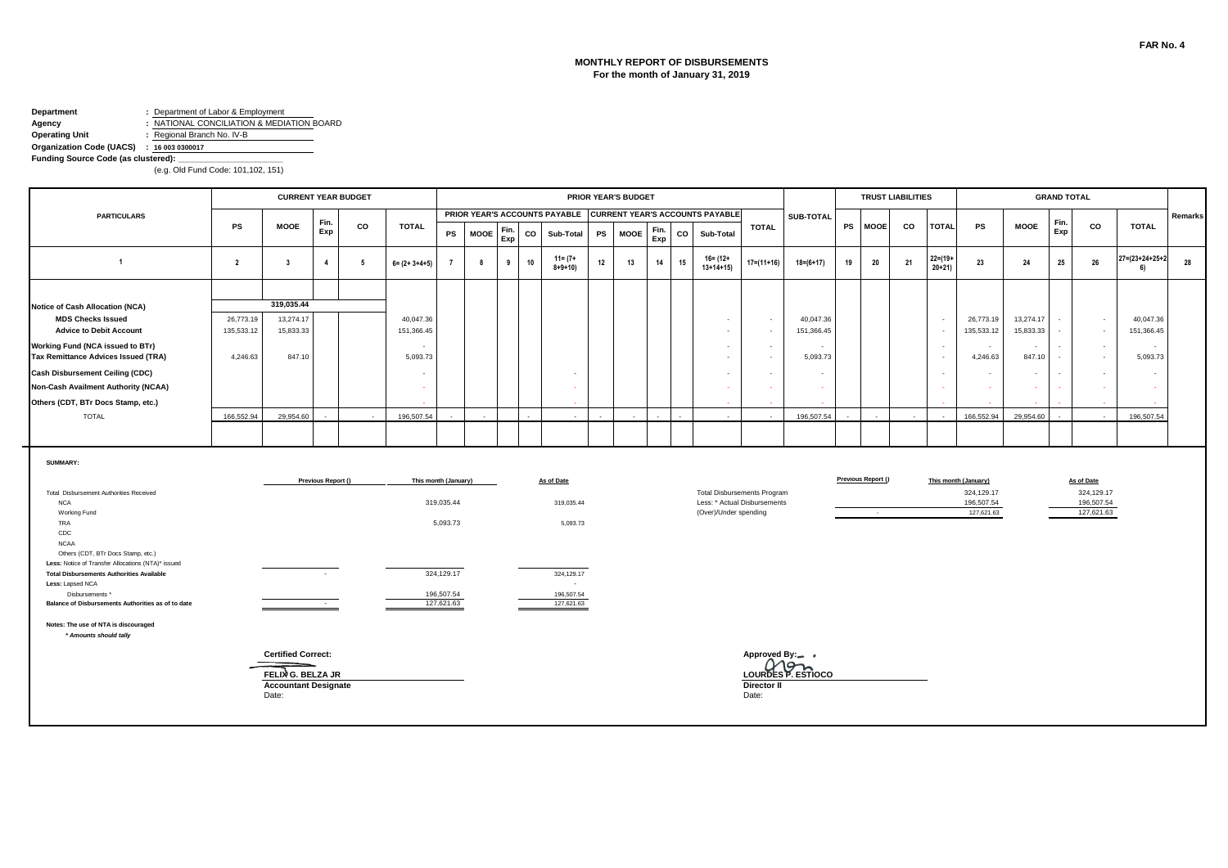#### **MONTHLY REPORT OF DISBURSEMENTS For the month of January 31, 2019**

# **Department :** Department of Labor & Employment **Agency :** NATIONAL CONCILIATION & MEDIATION BOARD<br> **Operating Unit :** Regional Branch No. IV-B

**Operating Unit :** Regional Branch No. IV-B

#### **Organization Code (UACS) : 16 003 0300017**

Funding Source Code (as clustered):

|                                                                                          |                         |                             |                    | <b>CURRENT YEAR BUDGET</b> |                          |                      |             |             |    |                             |    | <b>PRIOR YEAR'S BUDGET</b> |             |    |                                                               |                                                                    |                         |    |                    | <b>TRUST LIABILITIES</b> |                           |                          |                        | <b>GRAND TOTAL</b> |                          |                                 |         |
|------------------------------------------------------------------------------------------|-------------------------|-----------------------------|--------------------|----------------------------|--------------------------|----------------------|-------------|-------------|----|-----------------------------|----|----------------------------|-------------|----|---------------------------------------------------------------|--------------------------------------------------------------------|-------------------------|----|--------------------|--------------------------|---------------------------|--------------------------|------------------------|--------------------|--------------------------|---------------------------------|---------|
| <b>PARTICULARS</b>                                                                       |                         |                             | Fin.               |                            |                          |                      |             |             |    |                             |    |                            |             |    | PRIOR YEAR'S ACCOUNTS PAYABLE CURRENT YEAR'S ACCOUNTS PAYABLE |                                                                    | <b>SUB-TOTAL</b>        |    |                    |                          |                           |                          |                        | Fin.               |                          |                                 | Remarks |
|                                                                                          | PS                      | <b>MOOE</b>                 | Exp                | co                         | <b>TOTAL</b>             | PS                   | <b>MOOE</b> | Fin.<br>Exp | co | Sub-Total                   | PS | <b>MOOE</b>                | Fin.<br>Exp | co | Sub-Total                                                     | <b>TOTAL</b>                                                       |                         | PS | <b>MOOE</b>        | CO                       | <b>TOTAL</b>              | PS                       | <b>MOOE</b>            | Exp                | CO                       | <b>TOTAL</b>                    |         |
| $\overline{1}$                                                                           | $\overline{2}$          | $\overline{\mathbf{3}}$     | $\overline{4}$     | 5                          | $6 = (2 + 3 + 4 + 5)$    | $\overline{7}$       | 8           | 9           | 10 | $11 = (7 +$<br>$8 + 9 + 10$ | 12 | 13                         | 14          | 15 | $16 = (12 +$<br>$13+14+15$                                    | $17 = (11 + 16)$                                                   | $18 = (6 + 17)$         | 19 | 20                 | 21                       | $22 = (19 +$<br>$20 + 21$ | 23                       | 24                     | 25                 | 26                       | $27 = (23 + 24 + 25 + 2)$<br>6) | 28      |
|                                                                                          |                         |                             |                    |                            |                          |                      |             |             |    |                             |    |                            |             |    |                                                               |                                                                    |                         |    |                    |                          |                           |                          |                        |                    |                          |                                 |         |
| Notice of Cash Allocation (NCA)                                                          |                         | 319,035.44                  |                    |                            |                          |                      |             |             |    |                             |    |                            |             |    |                                                               |                                                                    |                         |    |                    |                          |                           |                          |                        |                    |                          |                                 |         |
| <b>MDS Checks Issued</b><br><b>Advice to Debit Account</b>                               | 26,773.19<br>135,533.12 | 13,274.17<br>15,833.33      |                    |                            | 40,047.36<br>151,366.45  |                      |             |             |    |                             |    |                            |             |    |                                                               | $\sim$<br>$\overline{\phantom{a}}$                                 | 40,047.36<br>151,366.45 |    |                    |                          | $\sim$<br>$\sim$          | 26,773.19<br>135,533.12  | 13,274.17<br>15,833.33 |                    | $\sim$<br>$\sim$         | 40,047.36<br>151,366.45         |         |
| Working Fund (NCA issued to BTr)<br>Tax Remittance Advices Issued (TRA)                  | 4,246.63                | 847.10                      |                    |                            | $\sim$<br>5,093.73       |                      |             |             |    |                             |    |                            |             |    | $\sim$<br>$\sim$                                              | $\sim$<br>$\sim$                                                   | 5,093.73                |    |                    |                          | $\sim$<br>$\sim$          | $\sim$<br>4,246.63       | $\sim$<br>847.10       |                    | $\sim$<br>$\sim$         | $\sim$<br>5,093.73              |         |
| <b>Cash Disbursement Ceiling (CDC)</b>                                                   |                         |                             |                    |                            | $\overline{\phantom{a}}$ |                      |             |             |    |                             |    |                            |             |    |                                                               | $\sim$                                                             | $\overline{a}$          |    |                    |                          | $\sim$                    | $\sim$                   | $\sim$                 |                    | $\sim$                   | $\sim$                          |         |
| Non-Cash Availment Authority (NCAA)                                                      |                         |                             |                    |                            | $\sim$                   |                      |             |             |    |                             |    |                            |             |    |                                                               | $\sim$                                                             | $\sim$                  |    |                    |                          | $\sim$                    | ÷.                       |                        |                    | $\sim$                   |                                 |         |
| Others (CDT, BTr Docs Stamp, etc.)                                                       |                         |                             |                    |                            |                          |                      |             |             |    |                             |    |                            |             |    |                                                               |                                                                    |                         |    |                    |                          |                           |                          |                        |                    |                          |                                 |         |
| <b>TOTAL</b>                                                                             | 166,552.94              | 29.954.60                   |                    |                            | 196,507.54               |                      |             |             |    |                             |    |                            |             |    |                                                               |                                                                    | 196,507.54              |    |                    |                          |                           | 166.552.94               | 29.954.60              |                    |                          | 196,507.54                      |         |
|                                                                                          |                         |                             |                    |                            |                          |                      |             |             |    |                             |    |                            |             |    |                                                               |                                                                    |                         |    |                    |                          |                           |                          |                        |                    |                          |                                 |         |
| SUMMARY:                                                                                 |                         |                             |                    |                            |                          |                      |             |             |    |                             |    |                            |             |    |                                                               |                                                                    |                         |    |                    |                          |                           |                          |                        |                    |                          |                                 |         |
|                                                                                          |                         |                             | Previous Report () |                            |                          | This month (January) |             |             |    | As of Date                  |    |                            |             |    |                                                               |                                                                    |                         |    | Previous Report () |                          |                           | This month (January)     |                        |                    | As of Date               |                                 |         |
| Total Disbursement Authorities Received<br><b>NCA</b>                                    |                         |                             |                    |                            |                          | 319,035.44           |             |             |    | 319,035.44                  |    |                            |             |    |                                                               | <b>Total Disbursements Program</b><br>Less: * Actual Disbursements |                         |    |                    |                          |                           | 324,129.17<br>196,507.54 |                        |                    | 324,129.17<br>196,507.54 |                                 |         |
| Working Fund                                                                             |                         |                             |                    |                            |                          |                      |             |             |    |                             |    |                            |             |    | (Over)/Under spending                                         |                                                                    |                         |    | $\sim$             |                          |                           | 127,621.63               |                        |                    | 127,621.63               |                                 |         |
| TRA<br>CDC                                                                               |                         |                             |                    |                            |                          | 5,093.73             |             |             |    | 5,093.73                    |    |                            |             |    |                                                               |                                                                    |                         |    |                    |                          |                           |                          |                        |                    |                          |                                 |         |
| <b>NCAA</b>                                                                              |                         |                             |                    |                            |                          |                      |             |             |    |                             |    |                            |             |    |                                                               |                                                                    |                         |    |                    |                          |                           |                          |                        |                    |                          |                                 |         |
| Others (CDT, BTr Docs Stamp, etc.)<br>Less: Notice of Transfer Allocations (NTA)* issued |                         |                             |                    |                            |                          |                      |             |             |    |                             |    |                            |             |    |                                                               |                                                                    |                         |    |                    |                          |                           |                          |                        |                    |                          |                                 |         |
| <b>Total Disbursements Authorities Available</b>                                         |                         |                             |                    |                            |                          | 324,129.17           |             |             |    | 324,129.17                  |    |                            |             |    |                                                               |                                                                    |                         |    |                    |                          |                           |                          |                        |                    |                          |                                 |         |
| Less: Lapsed NCA<br>Disbursements *                                                      |                         |                             |                    |                            |                          | 196,507.54           |             |             |    | $\sim$<br>196,507.54        |    |                            |             |    |                                                               |                                                                    |                         |    |                    |                          |                           |                          |                        |                    |                          |                                 |         |
| Balance of Disbursements Authorities as of to date                                       |                         |                             | $\sim 100$         |                            |                          | 127,621.63           |             |             |    | 127,621.63                  |    |                            |             |    |                                                               |                                                                    |                         |    |                    |                          |                           |                          |                        |                    |                          |                                 |         |
| Notes: The use of NTA is discouraged<br>* Amounts should tally                           |                         |                             |                    |                            |                          |                      |             |             |    |                             |    |                            |             |    |                                                               |                                                                    |                         |    |                    |                          |                           |                          |                        |                    |                          |                                 |         |
|                                                                                          |                         | <b>Certified Correct:</b>   |                    |                            |                          |                      |             |             |    |                             |    |                            |             |    |                                                               | Approved By:-                                                      |                         |    |                    |                          |                           |                          |                        |                    |                          |                                 |         |
|                                                                                          |                         | FELIX G. BELZA JR           |                    |                            |                          |                      |             |             |    |                             |    |                            |             |    |                                                               |                                                                    | LOURDES P. ESTIOCO      |    |                    |                          |                           |                          |                        |                    |                          |                                 |         |
|                                                                                          |                         | <b>Accountant Designate</b> |                    |                            |                          |                      |             |             |    |                             |    |                            |             |    |                                                               | Director II                                                        |                         |    |                    |                          |                           |                          |                        |                    |                          |                                 |         |
|                                                                                          |                         | Date:                       |                    |                            |                          |                      |             |             |    |                             |    |                            |             |    |                                                               | Date:                                                              |                         |    |                    |                          |                           |                          |                        |                    |                          |                                 |         |
|                                                                                          |                         |                             |                    |                            |                          |                      |             |             |    |                             |    |                            |             |    |                                                               |                                                                    |                         |    |                    |                          |                           |                          |                        |                    |                          |                                 |         |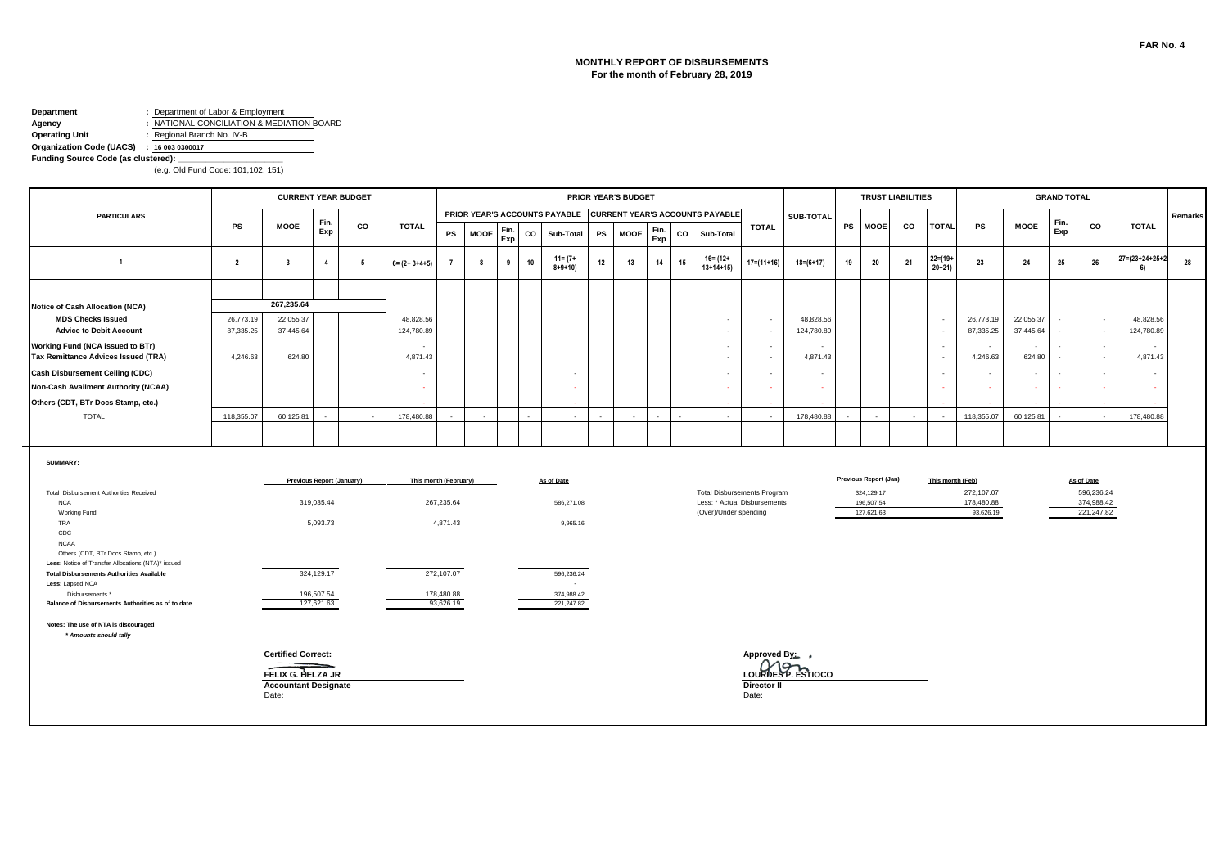#### **MONTHLY REPORT OF DISBURSEMENTS For the month of February 28, 2019**

#### **Department :** Department of Labor & Employment **Agency :** NATIONAL CONCILIATION & MEDIATION BOARD<br> **Operating Unit :** Regional Branch No. IV-B **Operating Unit :** Regional Branch No. IV-B

۰.

#### **Organization Code (UACS) : 16 003 0300017**

Funding Source Code (as clustered):

|                                                                                                         |                        | <b>CURRENT YEAR BUDGET</b><br><b>PRIOR YEAR'S BUDGET</b><br>PRIOR YEAR'S ACCOUNTS PAYABLE<br><b>CURRENT YEAR'S ACCOUNTS PAYABLE</b> |                           |    |                         |                          |             |             |    |                             |          |    |             |             |    |                                                                                             |                      | <b>TRUST LIABILITIES</b> |           |                                        |    |                           | <b>GRAND TOTAL</b>                    |        |                        |                          |                                        |                                 |         |
|---------------------------------------------------------------------------------------------------------|------------------------|-------------------------------------------------------------------------------------------------------------------------------------|---------------------------|----|-------------------------|--------------------------|-------------|-------------|----|-----------------------------|----------|----|-------------|-------------|----|---------------------------------------------------------------------------------------------|----------------------|--------------------------|-----------|----------------------------------------|----|---------------------------|---------------------------------------|--------|------------------------|--------------------------|----------------------------------------|---------------------------------|---------|
| <b>PARTICULARS</b>                                                                                      |                        |                                                                                                                                     | Fin.                      |    |                         |                          |             |             |    |                             |          |    |             |             |    |                                                                                             |                      | SUB-TOTAL                |           |                                        |    |                           |                                       |        |                        | Fin.                     |                                        |                                 | Remarks |
|                                                                                                         | PS                     | <b>MOOE</b>                                                                                                                         | Exp                       | CO | <b>TOTAL</b>            | PS                       | <b>MOOE</b> | Fin.<br>Exp | CO | Sub-Total                   |          | PS | <b>MOOE</b> | Fin.<br>Exp | CO | Sub-Total                                                                                   | <b>TOTAL</b>         |                          | <b>PS</b> | <b>MOOE</b>                            | CO | <b>TOTAL</b>              | PS                                    |        | <b>MOOE</b>            | Exp                      | CO                                     | TOTAL                           |         |
| $\overline{1}$                                                                                          | $\overline{2}$         | $\overline{\mathbf{3}}$                                                                                                             | $\overline{4}$            | 5  | $6 = (2 + 3 + 4 + 5)$   | $\overline{7}$           | 8           | 9           | 10 | $11 = (7 +$<br>$8 + 9 + 10$ |          | 12 | 13          | 14          | 15 | 16= (12+<br>$13+14+15$                                                                      | $17 = (11 + 16)$     | $18 = (6 + 17)$          | 19        | 20                                     | 21 | $22 = (19 +$<br>$20 + 21$ | 23                                    |        | 24                     | 25                       | 26                                     | $27 = (23 + 24 + 25 + 2)$<br>6) | 28      |
|                                                                                                         |                        |                                                                                                                                     |                           |    |                         |                          |             |             |    |                             |          |    |             |             |    |                                                                                             |                      |                          |           |                                        |    |                           |                                       |        |                        |                          |                                        |                                 |         |
| Notice of Cash Allocation (NCA)<br><b>MDS Checks Issued</b><br><b>Advice to Debit Account</b>           | 26,773.19<br>87,335.25 | 267,235.64<br>22,055.37<br>37,445.64                                                                                                |                           |    | 48,828.56<br>124,780.89 |                          |             |             |    |                             |          |    |             |             |    | $\sim$<br>$\sim$                                                                            | $\sim$<br>$\sim$     | 48,828.56<br>124,780.89  |           |                                        |    | $\sim$<br>$\sim$          | 26,773.19<br>87,335.25                |        | 22,055.37<br>37,445.64 |                          | $\sim$<br>$\sim$                       | 48,828.56<br>124,780.89         |         |
| Working Fund (NCA issued to BTr)<br>Tax Remittance Advices Issued (TRA)                                 | 4,246.63               | 624.80                                                                                                                              |                           |    | $\sim$<br>4,871.43      |                          |             |             |    |                             |          |    |             |             |    | $\sim$<br>$\sim$                                                                            | $\sim$<br>$\sim$     | 4,871.43                 |           |                                        |    | $\sim$<br>$\sim$          | 4,246.63                              | $\sim$ | 624.80                 |                          | $\sim$<br>$\sim$                       | 4,871.43                        |         |
| <b>Cash Disbursement Ceiling (CDC)</b><br>Non-Cash Availment Authority (NCAA)                           |                        |                                                                                                                                     |                           |    | $\sim$<br>$\sim$        |                          |             |             |    |                             |          |    |             |             |    | $\sim$<br>$\sim$                                                                            | $\sim$               | $\sim$<br>$\sim$         |           |                                        |    | $\sim$<br>$\sim$          |                                       | $\sim$ |                        | $\overline{\phantom{a}}$ | $\sim$<br>- 1                          |                                 |         |
| Others (CDT, BTr Docs Stamp, etc.)<br><b>TOTAL</b>                                                      | 118,355.07             | 60,125.81                                                                                                                           |                           |    | 178,480.88              |                          |             |             |    |                             |          |    |             |             |    |                                                                                             |                      | 178,480.88               |           |                                        |    |                           | 118,355.07                            |        | 60,125.81              |                          |                                        | 178,480.88                      |         |
|                                                                                                         |                        |                                                                                                                                     |                           |    |                         |                          |             |             |    |                             |          |    |             |             |    |                                                                                             |                      |                          |           |                                        |    |                           |                                       |        |                        |                          |                                        |                                 |         |
| <b>SUMMARY:</b>                                                                                         |                        |                                                                                                                                     |                           |    |                         |                          |             |             |    |                             |          |    |             |             |    |                                                                                             |                      |                          |           |                                        |    |                           |                                       |        |                        |                          |                                        |                                 |         |
|                                                                                                         |                        |                                                                                                                                     | Previous Report (January) |    |                         | This month (February)    |             |             |    | As of Date                  |          |    |             |             |    |                                                                                             |                      |                          |           | Previous Report (Jan)                  |    |                           | This month (Feb)                      |        |                        |                          | As of Date                             |                                 |         |
| Total Disbursement Authorities Received<br><b>NCA</b><br>Working Fund                                   |                        |                                                                                                                                     | 319,035.44                |    |                         | 267,235.64               |             |             |    | 586,271.08                  |          |    |             |             |    | <b>Total Disbursements Program</b><br>Less: * Actual Disbursements<br>(Over)/Under spending |                      |                          |           | 324,129.17<br>196,507.54<br>127,621.63 |    |                           | 272,107.07<br>178,480.88<br>93.626.19 |        |                        |                          | 596,236.24<br>374,988.42<br>221,247.82 |                                 |         |
| TRA<br>CDC                                                                                              |                        |                                                                                                                                     | 5,093.73                  |    |                         | 4,871.43                 |             |             |    |                             | 9,965.16 |    |             |             |    |                                                                                             |                      |                          |           |                                        |    |                           |                                       |        |                        |                          |                                        |                                 |         |
| <b>NCAA</b><br>Others (CDT, BTr Docs Stamp, etc.)<br>Less: Notice of Transfer Allocations (NTA)* issued |                        |                                                                                                                                     |                           |    |                         |                          |             |             |    |                             |          |    |             |             |    |                                                                                             |                      |                          |           |                                        |    |                           |                                       |        |                        |                          |                                        |                                 |         |
| <b>Total Disbursements Authorities Available</b><br>Less: Lapsed NCA<br>Disbursements *                 |                        |                                                                                                                                     | 324,129.17<br>196,507.54  |    |                         | 272,107.07<br>178,480.88 |             |             |    | 596,236.24<br>374,988.42    | $\sim$   |    |             |             |    |                                                                                             |                      |                          |           |                                        |    |                           |                                       |        |                        |                          |                                        |                                 |         |
| Balance of Disbursements Authorities as of to date                                                      |                        |                                                                                                                                     | 127,621.63                |    |                         | 93,626.19                |             |             |    | 221,247.82                  |          |    |             |             |    |                                                                                             |                      |                          |           |                                        |    |                           |                                       |        |                        |                          |                                        |                                 |         |
| Notes: The use of NTA is discouraged<br>* Amounts should tally                                          |                        |                                                                                                                                     |                           |    |                         |                          |             |             |    |                             |          |    |             |             |    |                                                                                             |                      |                          |           |                                        |    |                           |                                       |        |                        |                          |                                        |                                 |         |
|                                                                                                         |                        | <b>Certified Correct:</b>                                                                                                           |                           |    |                         |                          |             |             |    |                             |          |    |             |             |    |                                                                                             | Approved By: ,       | Mon                      |           |                                        |    |                           |                                       |        |                        |                          |                                        |                                 |         |
|                                                                                                         |                        | FELIX G. BELZA JR<br><b>Accountant Designate</b><br>Date:                                                                           |                           |    |                         |                          |             |             |    |                             |          |    |             |             |    |                                                                                             | Director II<br>Date: | LOURDES P. ESTIOCO       |           |                                        |    |                           |                                       |        |                        |                          |                                        |                                 |         |
|                                                                                                         |                        |                                                                                                                                     |                           |    |                         |                          |             |             |    |                             |          |    |             |             |    |                                                                                             |                      |                          |           |                                        |    |                           |                                       |        |                        |                          |                                        |                                 |         |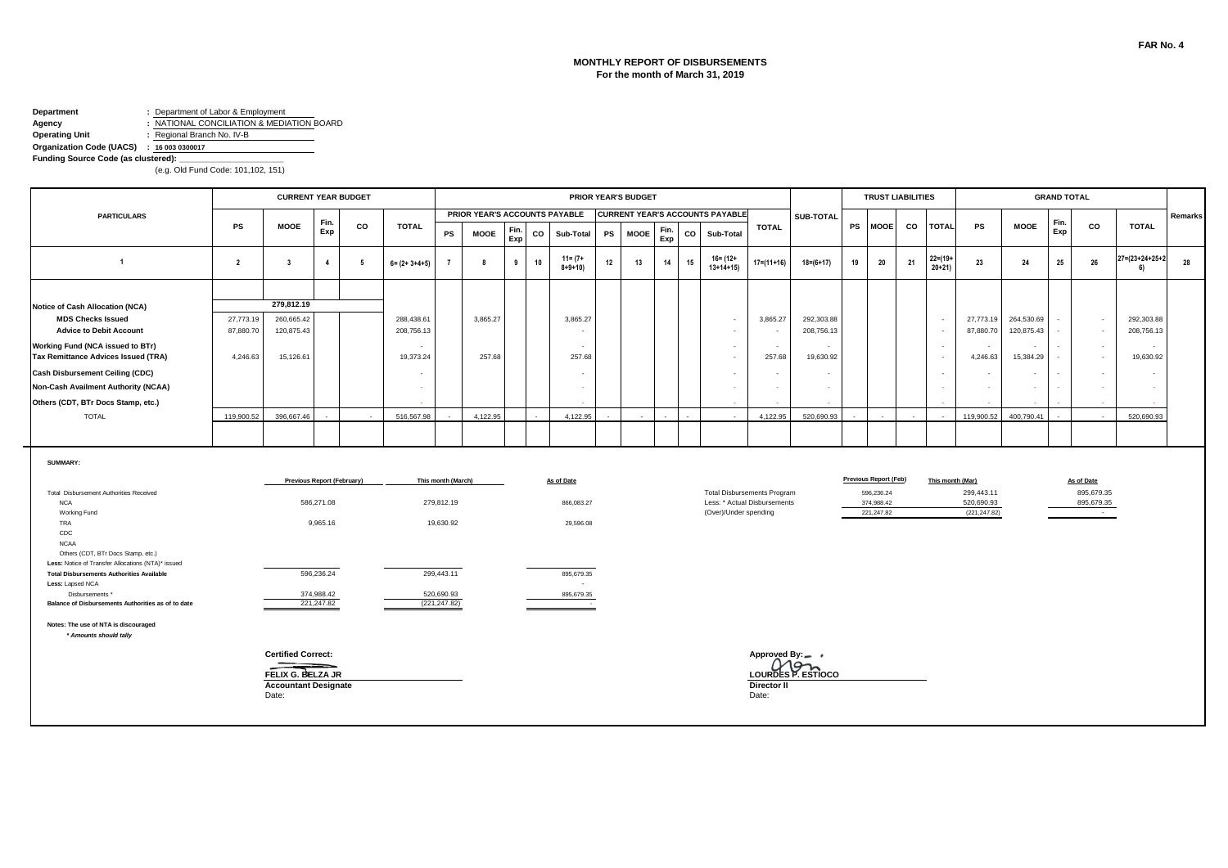#### **Department :** Department of Labor & Employment **Agency :** NATIONAL CONCILIATION & MEDIATION BOARD

**Operating Unit :** Regional Branch No. IV-B

#### **Organization Code (UACS) : 16 003 0300017**

**Funding Source Code (as clustered):** 

|                                                                         |                        | <b>CURRENT YEAR BUDGET</b>                       |                            |    |                          |                    |                               |             |    |                             |    | <b>PRIOR YEAR'S BUDGET</b> |             |    |                                        |                                    |                          |    |                          | <b>TRUST LIABILITIES</b> |                         |                             |                          | <b>GRAND TOTAL</b> |                               |                                 |         |
|-------------------------------------------------------------------------|------------------------|--------------------------------------------------|----------------------------|----|--------------------------|--------------------|-------------------------------|-------------|----|-----------------------------|----|----------------------------|-------------|----|----------------------------------------|------------------------------------|--------------------------|----|--------------------------|--------------------------|-------------------------|-----------------------------|--------------------------|--------------------|-------------------------------|---------------------------------|---------|
| <b>PARTICULARS</b>                                                      |                        |                                                  | Fin.                       |    |                          |                    | PRIOR YEAR'S ACCOUNTS PAYABLE |             |    |                             |    |                            |             |    | <b>CURRENT YEAR'S ACCOUNTS PAYABLE</b> |                                    | SUB-TOTAL                |    |                          |                          |                         |                             |                          | Fin.               |                               |                                 | Remarks |
|                                                                         | <b>PS</b>              | <b>MOOE</b>                                      | Exp                        | co | <b>TOTAL</b>             | PS                 | <b>MOOE</b>                   | Fin.<br>Exp | CO | Sub-Total                   | PS | <b>MOOE</b>                | Fin.<br>Exp | CO | Sub-Total                              | <b>TOTAL</b>                       |                          |    | PS MOOE                  | co                       | <b>TOTAL</b>            | <b>PS</b>                   | <b>MOOE</b>              | Exp                | CO                            | <b>TOTAL</b>                    |         |
| $\overline{1}$                                                          | $\overline{2}$         | $\overline{\mathbf{3}}$                          | $\overline{4}$             | 5  | $6 = (2 + 3 + 4 + 5)$    |                    | 8                             | 9           | 10 | $11 = (7 +$<br>$8 + 9 + 10$ | 12 | 13                         | 14          | 15 | $16 = (12 +$<br>$13+14+15$             | $17=(11+16)$                       | $18 = (6 + 17)$          | 19 | 20                       | 21                       | $22 = (19 +$<br>$20+21$ | 23                          | 24                       | 25                 | 26                            | $27 = (23 + 24 + 25 + 2)$<br>6) | 28      |
|                                                                         |                        |                                                  |                            |    |                          |                    |                               |             |    |                             |    |                            |             |    |                                        |                                    |                          |    |                          |                          |                         |                             |                          |                    |                               |                                 |         |
| Notice of Cash Allocation (NCA)                                         |                        | 279,812.19                                       |                            |    |                          |                    |                               |             |    |                             |    |                            |             |    |                                        |                                    |                          |    |                          |                          |                         |                             |                          |                    |                               |                                 |         |
| <b>MDS Checks Issued</b><br><b>Advice to Debit Account</b>              | 27,773.19<br>87,880.70 | 260,665.42<br>120,875.43                         |                            |    | 288,438.61<br>208,756.13 |                    | 3,865.27                      |             |    | 3,865.27                    |    |                            |             |    | $\sim$                                 | 3,865.27                           | 292,303.88<br>208,756.13 |    |                          |                          | $\sim$<br>$\sim$        | 27,773.19<br>87,880.70      | 264,530.69<br>120,875.43 |                    | $\sim$<br>$\sim$              | 292,303.88<br>208,756.13        |         |
| Working Fund (NCA issued to BTr)<br>Tax Remittance Advices Issued (TRA) | 4,246.63               | 15,126.61                                        |                            |    | $\sim$<br>19,373.24      |                    | 257.68                        |             |    | $\sim$<br>257.68            |    |                            |             |    | $\overline{\phantom{a}}$               | $\sim$<br>257.68                   | $\sim$<br>19,630.92      |    |                          |                          | $\sim$<br>$\sim$        | 4,246.63                    | $\sim$<br>15,384.29      |                    | $\sim$<br>$\sim$              | $\sim$<br>19,630.92             |         |
| <b>Cash Disbursement Ceiling (CDC)</b>                                  |                        |                                                  |                            |    | $\overline{\phantom{a}}$ |                    |                               |             |    |                             |    |                            |             |    |                                        | $\blacksquare$                     | $\sim$                   |    |                          |                          | $\sim$                  |                             | $\sim$                   |                    | $\sim$                        |                                 |         |
| Non-Cash Availment Authority (NCAA)                                     |                        |                                                  |                            |    |                          |                    |                               |             |    |                             |    |                            |             |    |                                        | $\sim$                             | $\sim$                   |    |                          |                          | $\sim$                  |                             | $\sim$                   |                    | $\sim$                        |                                 |         |
| Others (CDT, BTr Docs Stamp, etc.)                                      |                        |                                                  |                            |    |                          |                    |                               |             |    |                             |    |                            |             |    |                                        |                                    |                          |    |                          |                          |                         |                             |                          |                    |                               |                                 |         |
| <b>TOTAL</b>                                                            | 119,900.52             | 396.667.46                                       |                            |    | 516,567.98               |                    | 4,122.95                      |             |    | 4,122.95                    |    |                            |             |    |                                        | 4.122.95                           | 520.690.93               |    |                          |                          | na.                     | 119,900.52                  | 400.790.41               |                    | $\sim$                        | 520,690.93                      |         |
|                                                                         |                        |                                                  |                            |    |                          |                    |                               |             |    |                             |    |                            |             |    |                                        |                                    |                          |    |                          |                          |                         |                             |                          |                    |                               |                                 |         |
| SUMMARY:                                                                |                        |                                                  |                            |    |                          |                    |                               |             |    |                             |    |                            |             |    |                                        |                                    |                          |    |                          |                          |                         |                             |                          |                    |                               |                                 |         |
|                                                                         |                        |                                                  | Previous Report (February) |    |                          | This month (March) |                               |             |    | As of Date                  |    |                            |             |    |                                        |                                    |                          |    | Previous Report (Feb)    |                          | This month (Mar)        |                             |                          |                    | As of Date                    |                                 |         |
| Total Disbursement Authorities Received                                 |                        |                                                  |                            |    |                          |                    |                               |             |    |                             |    |                            |             |    |                                        | <b>Total Disbursements Program</b> |                          |    | 596,236.24               |                          |                         | 299,443.11                  |                          |                    | 895,679.35                    |                                 |         |
| <b>NCA</b><br>Working Fund                                              |                        |                                                  | 586,271.08                 |    |                          | 279,812.19         |                               |             |    | 866,083.27                  |    |                            |             |    | (Over)/Under spending                  | Less: * Actual Disbursements       |                          |    | 374.988.42<br>221,247.82 |                          |                         | 520,690.93<br>(221, 247.82) |                          |                    | 895,679.35<br><b>Contract</b> |                                 |         |
| TRA                                                                     |                        |                                                  | 9,965.16                   |    |                          | 19,630.92          |                               |             |    | 29,596.08                   |    |                            |             |    |                                        |                                    |                          |    |                          |                          |                         |                             |                          |                    |                               |                                 |         |
| CDC<br><b>NCAA</b>                                                      |                        |                                                  |                            |    |                          |                    |                               |             |    |                             |    |                            |             |    |                                        |                                    |                          |    |                          |                          |                         |                             |                          |                    |                               |                                 |         |
| Others (CDT, BTr Docs Stamp, etc.)                                      |                        |                                                  |                            |    |                          |                    |                               |             |    |                             |    |                            |             |    |                                        |                                    |                          |    |                          |                          |                         |                             |                          |                    |                               |                                 |         |
| Less: Notice of Transfer Allocations (NTA)* issued                      |                        |                                                  |                            |    |                          |                    |                               |             |    |                             |    |                            |             |    |                                        |                                    |                          |    |                          |                          |                         |                             |                          |                    |                               |                                 |         |
| <b>Total Disbursements Authorities Available</b><br>Less: Lapsed NCA    |                        |                                                  | 596,236.24                 |    |                          | 299,443.11         |                               |             |    | 895,679.35<br>$\sim$        |    |                            |             |    |                                        |                                    |                          |    |                          |                          |                         |                             |                          |                    |                               |                                 |         |
| Disbursements *                                                         |                        |                                                  | 374,988.42                 |    |                          | 520,690.93         |                               |             |    | 895,679.35                  |    |                            |             |    |                                        |                                    |                          |    |                          |                          |                         |                             |                          |                    |                               |                                 |         |
| Balance of Disbursements Authorities as of to date                      |                        |                                                  | 221,247.82                 |    |                          | (221, 247.82)      |                               |             |    | <b>Contractor</b>           |    |                            |             |    |                                        |                                    |                          |    |                          |                          |                         |                             |                          |                    |                               |                                 |         |
| Notes: The use of NTA is discouraged<br>* Amounts should tally          |                        |                                                  |                            |    |                          |                    |                               |             |    |                             |    |                            |             |    |                                        |                                    |                          |    |                          |                          |                         |                             |                          |                    |                               |                                 |         |
|                                                                         |                        | <b>Certified Correct:</b>                        |                            |    |                          |                    |                               |             |    |                             |    |                            |             |    |                                        | Approved By:_ +                    |                          |    |                          |                          |                         |                             |                          |                    |                               |                                 |         |
|                                                                         |                        |                                                  |                            |    |                          |                    |                               |             |    |                             |    |                            |             |    |                                        |                                    | Mon                      |    |                          |                          |                         |                             |                          |                    |                               |                                 |         |
|                                                                         |                        | FELIX G. BELZA JR<br><b>Accountant Designate</b> |                            |    |                          |                    |                               |             |    |                             |    |                            |             |    |                                        | <b>Director II</b>                 | LOURDES P. ESTIOCO       |    |                          |                          |                         |                             |                          |                    |                               |                                 |         |
|                                                                         |                        | Date:                                            |                            |    |                          |                    |                               |             |    |                             |    |                            |             |    |                                        | Date:                              |                          |    |                          |                          |                         |                             |                          |                    |                               |                                 |         |
|                                                                         |                        |                                                  |                            |    |                          |                    |                               |             |    |                             |    |                            |             |    |                                        |                                    |                          |    |                          |                          |                         |                             |                          |                    |                               |                                 |         |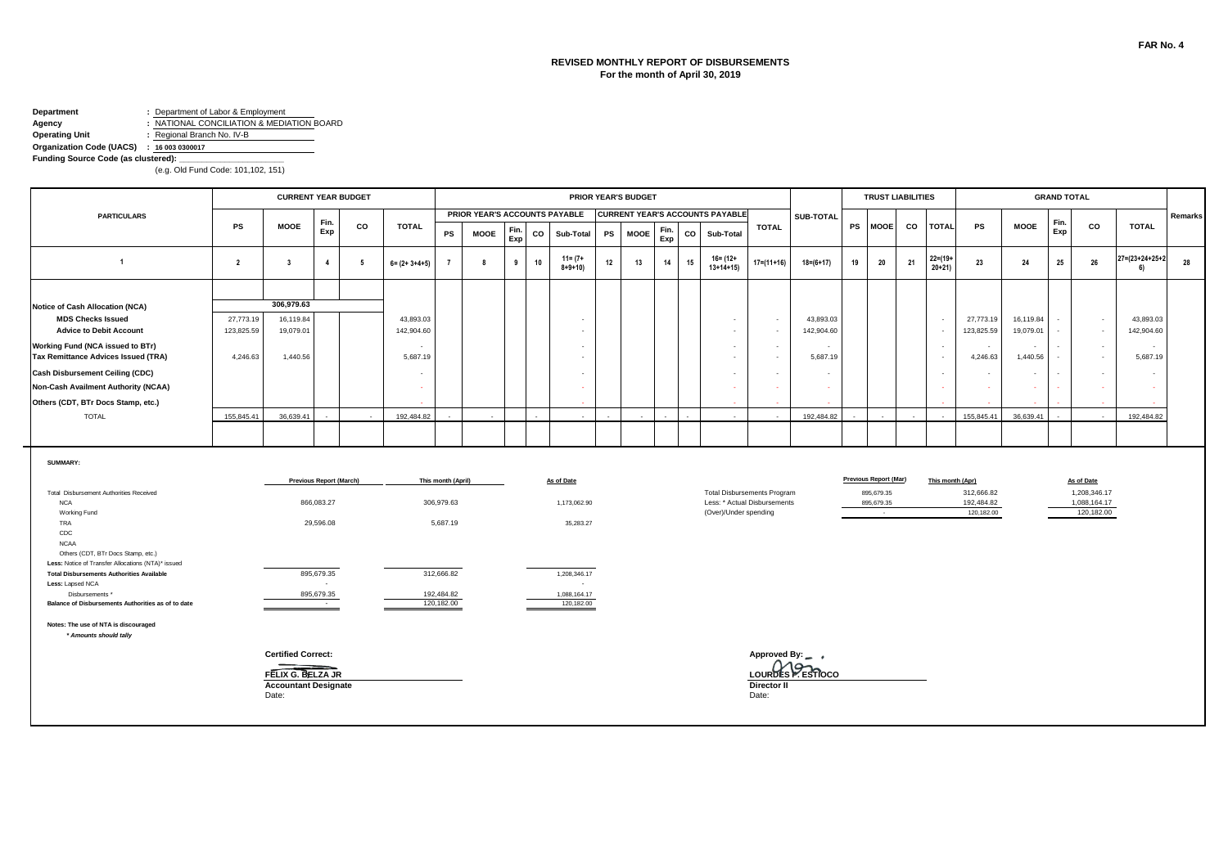#### **REVISED MONTHLY REPORT OF DISBURSEMENTS For the month of April 30, 2019**

### **Department :** Department of Labor & Employment

**Agency :** NATIONAL CONCILIATION & MEDIATION BOARD **Operating Unit :** Regional Branch No. IV-B

**Organization Code (UACS) : 16 003 0300017 Funding Source Code (as clustered):** 

|                                                                                                         |                         | <b>CURRENT YEAR BUDGET</b>                                |                                |     |                         |                          |                               |             |    |                             |           | <b>PRIOR YEAR'S BUDGET</b> |             |    |                                        |                                                                    |                         |           | <b>TRUST LIABILITIES</b>                    |    |                         |                  |                          |                        | <b>GRAND TOTAL</b> |                            |                         |         |
|---------------------------------------------------------------------------------------------------------|-------------------------|-----------------------------------------------------------|--------------------------------|-----|-------------------------|--------------------------|-------------------------------|-------------|----|-----------------------------|-----------|----------------------------|-------------|----|----------------------------------------|--------------------------------------------------------------------|-------------------------|-----------|---------------------------------------------|----|-------------------------|------------------|--------------------------|------------------------|--------------------|----------------------------|-------------------------|---------|
| <b>PARTICULARS</b>                                                                                      |                         |                                                           | Fin.                           |     |                         |                          | PRIOR YEAR'S ACCOUNTS PAYABLE |             |    |                             |           |                            |             |    | <b>CURRENT YEAR'S ACCOUNTS PAYABLE</b> |                                                                    | <b>SUB-TOTAL</b>        |           |                                             |    |                         |                  |                          |                        | Fin.               |                            |                         | Remarks |
|                                                                                                         | <b>PS</b>               | <b>MOOE</b>                                               | Exp                            | CO  | <b>TOTAL</b>            | PS                       | <b>MOOE</b>                   | Fin.<br>Exp | co | Sub-Total                   | <b>PS</b> | <b>MOOE</b>                | Fin.<br>Exp | co | Sub-Total                              | <b>TOTAL</b>                                                       |                         | <b>PS</b> | <b>MOOE</b>                                 | co | <b>TOTAL</b>            |                  | <b>PS</b>                | <b>MOOE</b>            | Exp                | CO                         | <b>TOTAL</b>            |         |
| $\overline{1}$                                                                                          | $\overline{2}$          | $\overline{\mathbf{3}}$                                   | $\overline{4}$                 | - 5 | $6 = (2 + 3 + 4 + 5)$   | $\overline{7}$           | 8                             | 9           | 10 | $11 = (7 +$<br>$8 + 9 + 10$ | 12        | 13                         | 14          | 15 | $16 = (12 +$<br>$13+14+15$             | 17=(11+16)                                                         | $18 = (6 + 17)$         | 19        | 20                                          | 21 | $22 = (19 +$<br>$20+21$ |                  | 23                       | 24                     | 25                 | 26                         | 27=(23+24+25+2<br>6)    | 28      |
|                                                                                                         |                         |                                                           |                                |     |                         |                          |                               |             |    |                             |           |                            |             |    |                                        |                                                                    |                         |           |                                             |    |                         |                  |                          |                        |                    |                            |                         |         |
| <b>Notice of Cash Allocation (NCA)</b>                                                                  |                         | 306,979.63                                                |                                |     |                         |                          |                               |             |    |                             |           |                            |             |    |                                        |                                                                    |                         |           |                                             |    |                         |                  |                          |                        |                    |                            |                         |         |
| <b>MDS Checks Issued</b><br><b>Advice to Debit Account</b>                                              | 27,773.19<br>123,825.59 | 16,119.84<br>19,079.01                                    |                                |     | 43,893.03<br>142,904.60 |                          |                               |             |    |                             |           |                            |             |    | $\sim$<br>$\sim$                       | $\sim$<br>$\overline{\phantom{a}}$                                 | 43,893.03<br>142,904.60 |           |                                             |    | $\sim$<br>$\sim$        |                  | 27,773.19<br>123,825.59  | 16,119.84<br>19,079.01 |                    | $\sim$<br>$\sim$           | 43,893.03<br>142,904.60 |         |
| Working Fund (NCA issued to BTr)<br>Tax Remittance Advices Issued (TRA)                                 | 4,246.63                | 1,440.56                                                  |                                |     | $\sim$<br>5,687.19      |                          |                               |             |    | $\sim$                      |           |                            |             |    | $\sim$<br>$\sim$                       | $\sim$<br>$\sim$                                                   | 5,687.19                |           |                                             |    | $\sim$<br>$\sim$        |                  | $\sim$<br>4,246.63       | $\sim$<br>1,440.56     |                    | $\sim$<br>$\sim$           | $\sim$<br>5,687.19      |         |
| <b>Cash Disbursement Ceiling (CDC)</b>                                                                  |                         |                                                           |                                |     | $\sim$                  |                          |                               |             |    |                             |           |                            |             |    | $\sim$                                 |                                                                    |                         |           |                                             |    | $\sim$                  |                  |                          | $\sim$                 |                    | $\sim$                     |                         |         |
| Non-Cash Availment Authority (NCAA)                                                                     |                         |                                                           |                                |     | $\sim$                  |                          |                               |             |    |                             |           |                            |             |    | $\Delta \tau$                          |                                                                    |                         |           |                                             |    | $\sim$                  |                  |                          |                        |                    | $\sim$                     |                         |         |
| Others (CDT, BTr Docs Stamp, etc.)                                                                      |                         |                                                           |                                |     |                         |                          |                               |             |    |                             |           |                            |             |    |                                        |                                                                    |                         |           |                                             |    |                         |                  |                          |                        |                    |                            |                         |         |
| <b>TOTAL</b>                                                                                            | 155.845.41              | 36.639.41                                                 |                                |     | 192.484.82              |                          |                               |             |    |                             |           |                            |             |    |                                        |                                                                    | 192.484.82              |           |                                             |    |                         |                  | 155.845.41               | 36.639.41              |                    |                            | 192.484.82              |         |
|                                                                                                         |                         |                                                           |                                |     |                         |                          |                               |             |    |                             |           |                            |             |    |                                        |                                                                    |                         |           |                                             |    |                         |                  |                          |                        |                    |                            |                         |         |
| <b>SUMMARY:</b>                                                                                         |                         |                                                           |                                |     |                         |                          |                               |             |    |                             |           |                            |             |    |                                        |                                                                    |                         |           |                                             |    |                         |                  |                          |                        |                    |                            |                         |         |
|                                                                                                         |                         |                                                           | <b>Previous Report (March)</b> |     |                         | This month (April)       |                               |             |    | As of Date                  |           |                            |             |    |                                        |                                                                    |                         |           | <b>Previous Report (Mar)</b>                |    |                         | This month (Apr) | 312,666.82               |                        |                    | As of Date<br>1,208,346.17 |                         |         |
| Total Disbursement Authorities Received<br><b>NCA</b><br>Working Fund                                   |                         |                                                           | 866,083.27                     |     |                         | 306,979.63               |                               |             |    | 1,173,062.90                |           |                            |             |    | (Over)/Under spending                  | <b>Total Disbursements Program</b><br>Less: * Actual Disbursements |                         |           | 895,679.35<br>895,679.35<br>$\sim$ 10 $\pm$ |    |                         |                  | 192,484.82<br>120,182.00 |                        |                    | 1.088.164.17<br>120,182.00 |                         |         |
| TRA<br>CDC                                                                                              |                         |                                                           | 29,596.08                      |     |                         | 5,687.19                 |                               |             |    | 35,283.27                   |           |                            |             |    |                                        |                                                                    |                         |           |                                             |    |                         |                  |                          |                        |                    |                            |                         |         |
| <b>NCAA</b><br>Others (CDT, BTr Docs Stamp, etc.)<br>Less: Notice of Transfer Allocations (NTA)* issued |                         |                                                           |                                |     |                         |                          |                               |             |    |                             |           |                            |             |    |                                        |                                                                    |                         |           |                                             |    |                         |                  |                          |                        |                    |                            |                         |         |
| <b>Total Disbursements Authorities Available</b><br>Less: Lapsed NCA                                    |                         |                                                           | 895,679.35<br>$\sim$           |     |                         | 312,666.82               |                               |             |    | 1,208,346.17<br>$\sim$      |           |                            |             |    |                                        |                                                                    |                         |           |                                             |    |                         |                  |                          |                        |                    |                            |                         |         |
| Disbursements *<br>Balance of Disbursements Authorities as of to date                                   |                         |                                                           | 895,679.35<br>$\sim 10^{-11}$  |     |                         | 192,484.82<br>120,182.00 |                               |             |    | 1,088,164.17<br>120,182.00  |           |                            |             |    |                                        |                                                                    |                         |           |                                             |    |                         |                  |                          |                        |                    |                            |                         |         |
| Notes: The use of NTA is discouraged<br>* Amounts should tally                                          |                         |                                                           |                                |     |                         |                          |                               |             |    |                             |           |                            |             |    |                                        |                                                                    |                         |           |                                             |    |                         |                  |                          |                        |                    |                            |                         |         |
|                                                                                                         |                         | <b>Certified Correct:</b>                                 |                                |     |                         |                          |                               |             |    |                             |           |                            |             |    |                                        | Approved By: _ ,                                                   |                         |           |                                             |    |                         |                  |                          |                        |                    |                            |                         |         |
|                                                                                                         |                         | FELIX G. BELZA JR<br><b>Accountant Designate</b><br>Date: |                                |     |                         |                          |                               |             |    |                             |           |                            |             |    |                                        | Director II<br>Date:                                               | LOURDES P. ESTIOCO      |           |                                             |    |                         |                  |                          |                        |                    |                            |                         |         |
|                                                                                                         |                         |                                                           |                                |     |                         |                          |                               |             |    |                             |           |                            |             |    |                                        |                                                                    |                         |           |                                             |    |                         |                  |                          |                        |                    |                            |                         |         |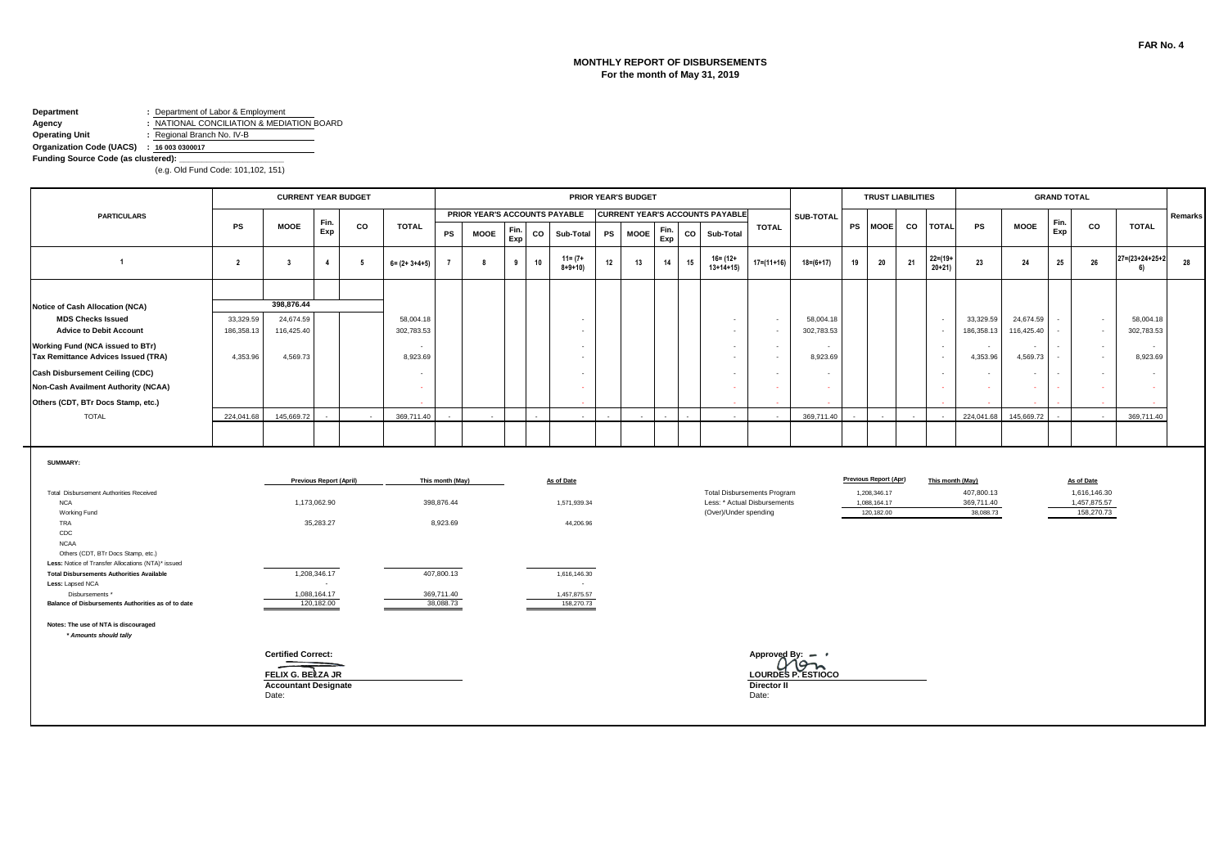#### **MONTHLY REPORT OF DISBURSEMENTS For the month of May 31, 2019**

# **Department :** Department of Labor & Employment

**Agency :** NATIONAL CONCILIATION & MEDIATION BOARD **Operating Unit :** Regional Branch No. IV-B

### **Organization Code (UACS) : 16 003 0300017**

**Funding Source Code (as clustered):** 

|                                                                                                         |                | <b>CURRENT YEAR BUDGET</b>                       |                                |    |                          |                  |                               |             |    |                             |    | <b>PRIOR YEAR'S BUDGET</b> |             |    |                                                       |                          |                             |    | <b>TRUST LIABILITIES</b>   |    |                         |                         |                    | <b>GRAND TOTAL</b> |                            |                      |         |
|---------------------------------------------------------------------------------------------------------|----------------|--------------------------------------------------|--------------------------------|----|--------------------------|------------------|-------------------------------|-------------|----|-----------------------------|----|----------------------------|-------------|----|-------------------------------------------------------|--------------------------|-----------------------------|----|----------------------------|----|-------------------------|-------------------------|--------------------|--------------------|----------------------------|----------------------|---------|
| <b>PARTICULARS</b>                                                                                      |                |                                                  | Fin.                           |    |                          |                  | PRIOR YEAR'S ACCOUNTS PAYABLE |             |    |                             |    |                            |             |    | <b>CURRENT YEAR'S ACCOUNTS PAYABLE</b>                |                          | SUB-TOTAL                   |    |                            |    |                         |                         |                    | Fin.               |                            |                      | Remarks |
|                                                                                                         | <b>PS</b>      | <b>MOOE</b>                                      | Exp                            | CO | <b>TOTAL</b>             | PS               | <b>MOOE</b>                   | Fin.<br>Exp | CO | Sub-Total                   | PS | <b>MOOE</b>                | Fin.<br>Exp | CO | Sub-Total                                             | <b>TOTAL</b>             |                             |    | PS MOOE                    | CO | <b>TOTAL</b>            | <b>PS</b>               | <b>MOOE</b>        | Exp                | CO                         | <b>TOTAL</b>         |         |
| $\overline{1}$                                                                                          | $\overline{2}$ | $\overline{\mathbf{3}}$                          | $\overline{4}$                 | 5  | $6 = (2 + 3 + 4 + 5)$    |                  | 8                             | 9           | 10 | $11 = (7 +$<br>$8 + 9 + 10$ | 12 | 13                         | 14          | 15 | $16 = (12 +$<br>$13+14+15$                            | $17=(11+16)$             | $18=(6+17)$                 | 19 | 20                         | 21 | $22 = (19 +$<br>$20+21$ | 23                      | 24                 | 25                 | 26                         | 27=(23+24+25+2<br>6) | 28      |
|                                                                                                         |                |                                                  |                                |    |                          |                  |                               |             |    |                             |    |                            |             |    |                                                       |                          |                             |    |                            |    |                         |                         |                    |                    |                            |                      |         |
| Notice of Cash Allocation (NCA)                                                                         |                | 398,876.44                                       |                                |    |                          |                  |                               |             |    |                             |    |                            |             |    |                                                       |                          |                             |    |                            |    |                         |                         |                    |                    |                            |                      |         |
| <b>MDS Checks Issued</b><br><b>Advice to Debit Account</b>                                              | 33,329.59      | 24,674.59                                        |                                |    | 58,004.18                |                  |                               |             |    |                             |    |                            |             |    |                                                       | $\sim$                   | 58,004.18                   |    |                            |    | $\sim$                  | 33,329.59               | 24,674.59          |                    | $\sim$                     | 58,004.18            |         |
|                                                                                                         | 186.358.13     | 116,425.40                                       |                                |    | 302,783.53               |                  |                               |             |    |                             |    |                            |             |    | $\overline{\phantom{a}}$                              | $\sim$                   | 302,783.53                  |    |                            |    | $\sim$                  | 186,358.13              | 116,425.40         |                    | $\sim$                     | 302,783.53           |         |
| Working Fund (NCA issued to BTr)<br>Tax Remittance Advices Issued (TRA)                                 | 4,353.96       | 4,569.73                                         |                                |    | $\sim$<br>8,923.69       |                  |                               |             |    |                             |    |                            |             |    |                                                       | $\sim$<br>$\blacksquare$ | ٠<br>8,923.69               |    |                            |    | $\sim$<br>$\sim$        | 4,353.96                | $\sim$<br>4,569.73 |                    | $\sim$<br>$\sim$           | $\sim$<br>8,923.69   |         |
| <b>Cash Disbursement Ceiling (CDC)</b>                                                                  |                |                                                  |                                |    |                          |                  |                               |             |    |                             |    |                            |             |    |                                                       |                          | ٠                           |    |                            |    |                         |                         | $\sim$             |                    | $\sim$                     |                      |         |
|                                                                                                         |                |                                                  |                                |    | $\overline{\phantom{a}}$ |                  |                               |             |    |                             |    |                            |             |    |                                                       | $\blacksquare$           |                             |    |                            |    | $\sim$                  |                         |                    |                    |                            |                      |         |
| Non-Cash Availment Authority (NCAA)                                                                     |                |                                                  |                                |    | $\sim$                   |                  |                               |             |    |                             |    |                            |             |    |                                                       |                          | $\sim$                      |    |                            |    | $\sim$                  |                         | <b>FAX</b>         |                    | - 1                        |                      |         |
| Others (CDT, BTr Docs Stamp, etc.)                                                                      |                |                                                  |                                |    |                          |                  |                               |             |    |                             |    |                            |             |    |                                                       |                          |                             |    |                            |    |                         |                         |                    |                    |                            |                      |         |
| <b>TOTAL</b>                                                                                            | 224,041.68     | 145,669.72                                       |                                |    | 369,711.40               |                  |                               |             |    |                             |    |                            |             |    |                                                       |                          | 369,711.40                  |    |                            |    |                         | 224,041.68              | 145,669.72         |                    |                            | 369,711.40           |         |
|                                                                                                         |                |                                                  |                                |    |                          |                  |                               |             |    |                             |    |                            |             |    |                                                       |                          |                             |    |                            |    |                         |                         |                    |                    |                            |                      |         |
| SUMMARY:                                                                                                |                |                                                  | <b>Previous Report (April)</b> |    |                          | This month (May) |                               |             |    | As of Date                  |    |                            |             |    |                                                       |                          |                             |    | Previous Report (Apr)      |    |                         | This month (May)        |                    |                    | As of Date                 |                      |         |
| Total Disbursement Authorities Received                                                                 |                |                                                  |                                |    |                          |                  |                               |             |    |                             |    |                            |             |    | <b>Total Disbursements Program</b>                    |                          |                             |    | 1,208,346.17               |    |                         | 407,800.13              |                    |                    | 1,616,146.30               |                      |         |
| <b>NCA</b><br>Working Fund                                                                              |                |                                                  | 1,173,062.90                   |    |                          | 398,876.44       |                               |             |    | 1,571,939.34                |    |                            |             |    | Less: * Actual Disbursements<br>(Over)/Under spending |                          |                             |    | 1,088,164.17<br>120,182.00 |    |                         | 369,711.40<br>38,088.73 |                    |                    | 1,457,875.57<br>158,270.73 |                      |         |
| TRA                                                                                                     |                |                                                  | 35,283.27                      |    |                          | 8,923.69         |                               |             |    | 44,206.96                   |    |                            |             |    |                                                       |                          |                             |    |                            |    |                         |                         |                    |                    |                            |                      |         |
| CDC                                                                                                     |                |                                                  |                                |    |                          |                  |                               |             |    |                             |    |                            |             |    |                                                       |                          |                             |    |                            |    |                         |                         |                    |                    |                            |                      |         |
| <b>NCAA</b><br>Others (CDT, BTr Docs Stamp, etc.)<br>Less: Notice of Transfer Allocations (NTA)* issued |                |                                                  |                                |    |                          |                  |                               |             |    |                             |    |                            |             |    |                                                       |                          |                             |    |                            |    |                         |                         |                    |                    |                            |                      |         |
| <b>Total Disbursements Authorities Available</b>                                                        |                |                                                  | 1,208,346.17                   |    |                          | 407,800.13       |                               |             |    | 1,616,146.30                |    |                            |             |    |                                                       |                          |                             |    |                            |    |                         |                         |                    |                    |                            |                      |         |
| Less: Lapsed NCA<br>Disbursements *                                                                     |                |                                                  | 1,088,164.17                   |    |                          | 369,711.40       |                               |             |    | 1,457,875.57                |    |                            |             |    |                                                       |                          |                             |    |                            |    |                         |                         |                    |                    |                            |                      |         |
| Balance of Disbursements Authorities as of to date                                                      |                |                                                  | 120,182.00                     |    |                          | 38,088.73        |                               |             |    | 158,270.73                  |    |                            |             |    |                                                       |                          |                             |    |                            |    |                         |                         |                    |                    |                            |                      |         |
| Notes: The use of NTA is discouraged<br>* Amounts should tally                                          |                |                                                  |                                |    |                          |                  |                               |             |    |                             |    |                            |             |    |                                                       |                          |                             |    |                            |    |                         |                         |                    |                    |                            |                      |         |
|                                                                                                         |                | <b>Certified Correct:</b>                        |                                |    |                          |                  |                               |             |    |                             |    |                            |             |    |                                                       |                          | Approved By: $\qquadbullet$ |    |                            |    |                         |                         |                    |                    |                            |                      |         |
|                                                                                                         |                |                                                  |                                |    |                          |                  |                               |             |    |                             |    |                            |             |    |                                                       |                          | Mon                         |    |                            |    |                         |                         |                    |                    |                            |                      |         |
|                                                                                                         |                | FELIX G. BELZA JR<br><b>Accountant Designate</b> |                                |    |                          |                  |                               |             |    |                             |    |                            |             |    |                                                       | Director II              | LOURDES P. ESTIOCO          |    |                            |    |                         |                         |                    |                    |                            |                      |         |
|                                                                                                         |                | Date:                                            |                                |    |                          |                  |                               |             |    |                             |    |                            |             |    |                                                       | Date:                    |                             |    |                            |    |                         |                         |                    |                    |                            |                      |         |
|                                                                                                         |                |                                                  |                                |    |                          |                  |                               |             |    |                             |    |                            |             |    |                                                       |                          |                             |    |                            |    |                         |                         |                    |                    |                            |                      |         |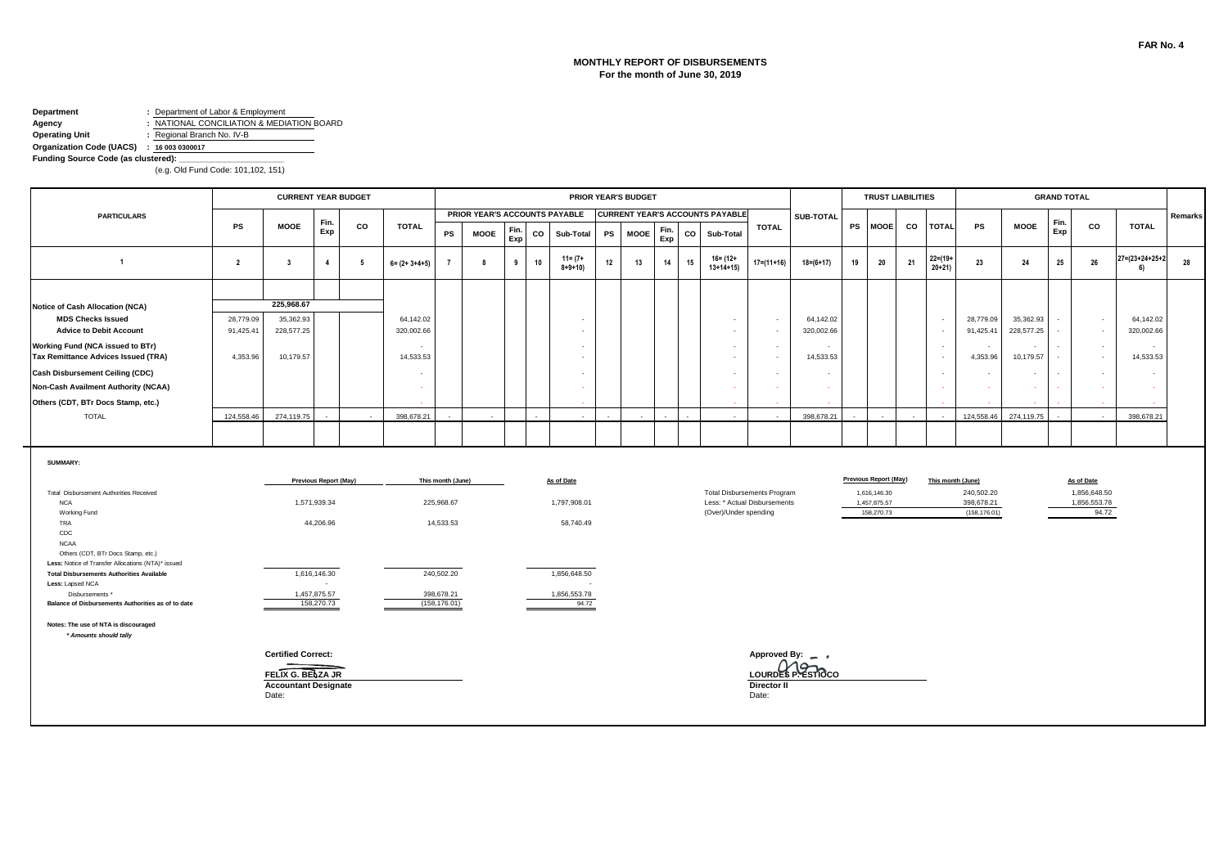#### **MONTHLY REPORT OF DISBURSEMENTS For the month of June 30, 2019**

#### **Department :** Department of Labor & Employment **Agency :** NATIONAL CONCILIATION & MEDIATION BOARD

**Operating Unit :** Regional Branch No. IV-B

### **Organization Code (UACS) : 16 003 0300017**

**Funding Source Code (as clustered):** 

|                                                                                          |                        | <b>CURRENT YEAR BUDGET</b>                                |                              |     |                          |                             |                               |             |    |                             |    | PRIOR YEAR'S BUDGET |             |    |                                                       |                              |                         |    |                            | <b>TRUST LIABILITIES</b> |                           |                             |                         | <b>GRAND TOTAL</b> |                       |                                 |         |
|------------------------------------------------------------------------------------------|------------------------|-----------------------------------------------------------|------------------------------|-----|--------------------------|-----------------------------|-------------------------------|-------------|----|-----------------------------|----|---------------------|-------------|----|-------------------------------------------------------|------------------------------|-------------------------|----|----------------------------|--------------------------|---------------------------|-----------------------------|-------------------------|--------------------|-----------------------|---------------------------------|---------|
| <b>PARTICULARS</b>                                                                       |                        |                                                           | Fin.                         |     |                          |                             | PRIOR YEAR'S ACCOUNTS PAYABLE |             |    |                             |    |                     |             |    | <b>CURRENT YEAR'S ACCOUNTS PAYABLE</b>                |                              | SUB-TOTAL               |    |                            |                          |                           |                             |                         | Fin.               |                       |                                 | Remarks |
|                                                                                          | PS                     | <b>MOOE</b>                                               | Exp                          | CO  | <b>TOTAL</b>             | PS                          | <b>MOOE</b>                   | Fin.<br>Exp | CO | Sub-Total                   | PS | <b>MOOE</b>         | Fin.<br>Exp | CO | Sub-Total                                             | <b>TOTAL</b>                 |                         |    | PS MOOE                    | CO                       | <b>TOTAL</b>              | PS                          | <b>MOOE</b>             | Exp                | CO                    | <b>TOTAL</b>                    |         |
| $\overline{1}$                                                                           | $\overline{2}$         | $\overline{\mathbf{3}}$                                   | $\overline{4}$               | - 5 | $6 = (2 + 3 + 4 + 5)$    |                             | 8                             | 9           | 10 | $11 = (7 +$<br>$8 + 9 + 10$ | 12 | 13                  | 14          | 15 | $16 = (12 +$<br>$13+14+15$                            | $17=(11+16)$                 | $18 = (6 + 17)$         | 19 | 20                         | 21                       | $22 = (19 +$<br>$20 + 21$ | 23                          | 24                      | 25                 | 26                    | $27 = (23 + 24 + 25 + 2)$<br>6) | 28      |
|                                                                                          |                        |                                                           |                              |     |                          |                             |                               |             |    |                             |    |                     |             |    |                                                       |                              |                         |    |                            |                          |                           |                             |                         |                    |                       |                                 |         |
| Notice of Cash Allocation (NCA)                                                          |                        | 225.968.67                                                |                              |     |                          |                             |                               |             |    |                             |    |                     |             |    |                                                       |                              |                         |    |                            |                          |                           |                             |                         |                    |                       |                                 |         |
| <b>MDS Checks Issued</b><br><b>Advice to Debit Account</b>                               | 28,779.09<br>91,425.41 | 35,362.93<br>228,577.25                                   |                              |     | 64,142.02<br>320,002.66  |                             |                               |             |    | $\overline{\phantom{a}}$    |    |                     |             |    | $\overline{\phantom{a}}$                              | $\sim$<br>$\blacksquare$     | 64,142.02<br>320,002.66 |    |                            |                          | $\sim$<br>$\sim$          | 28,779.09<br>91,425.41      | 35,362.93<br>228,577.25 |                    | $\sim$<br>$\sim$      | 64,142.02<br>320,002.66         |         |
| Working Fund (NCA issued to BTr)<br>Tax Remittance Advices Issued (TRA)                  | 4,353.96               | 10,179.57                                                 |                              |     | $\sim$<br>14,533.53      |                             |                               |             |    |                             |    |                     |             |    |                                                       | $\blacksquare$<br>$\sim$     | 14,533.53               |    |                            |                          | $\sim$<br>$\sim$          | 4,353.96                    | 10,179.57               |                    | $\sim$<br>$\sim$      | 14,533.53                       |         |
| <b>Cash Disbursement Ceiling (CDC)</b>                                                   |                        |                                                           |                              |     | $\overline{\phantom{a}}$ |                             |                               |             |    |                             |    |                     |             |    |                                                       | $\overline{\phantom{a}}$     | $\sim$                  |    |                            |                          | $\sim$                    |                             | $\sim$                  |                    | $\sim$                |                                 |         |
| <b>Non-Cash Availment Authority (NCAA)</b>                                               |                        |                                                           |                              |     | $\sim$                   |                             |                               |             |    |                             |    |                     |             |    | $\sim$                                                |                              | $\sim$                  |    |                            |                          | $\sim$                    |                             |                         |                    | - 20                  |                                 |         |
| Others (CDT, BTr Docs Stamp, etc.)                                                       |                        |                                                           |                              |     |                          |                             |                               |             |    |                             |    |                     |             |    |                                                       |                              |                         |    |                            |                          |                           |                             |                         |                    |                       |                                 |         |
| <b>TOTAL</b>                                                                             | 124,558.46             | 274.119.75                                                |                              |     | 398,678,21               |                             |                               |             |    |                             |    |                     |             |    |                                                       |                              | 398.678.21              |    |                            |                          |                           | 124.558.46                  | 274.119.75              |                    |                       | 398,678.21                      |         |
|                                                                                          |                        |                                                           |                              |     |                          |                             |                               |             |    |                             |    |                     |             |    |                                                       |                              |                         |    |                            |                          |                           |                             |                         |                    |                       |                                 |         |
| SUMMARY:                                                                                 |                        |                                                           | <b>Previous Report (May)</b> |     |                          | This month (June)           |                               |             |    | As of Date                  |    |                     |             |    |                                                       |                              |                         |    | Previous Report (May)      |                          |                           | This month (June)           |                         |                    | As of Date            |                                 |         |
| Total Disbursement Authorities Received                                                  |                        |                                                           |                              |     |                          |                             |                               |             |    |                             |    |                     |             |    | <b>Total Disbursements Program</b>                    |                              |                         |    | 1,616,146.30               |                          |                           | 240,502.20                  |                         |                    | 1,856,648.50          |                                 |         |
| <b>NCA</b><br>Working Fund                                                               |                        |                                                           | 1,571,939.34                 |     |                          | 225,968.67                  |                               |             |    | 1,797,908.01                |    |                     |             |    | Less: * Actual Disbursements<br>(Over)/Under spending |                              |                         |    | 1,457,875.57<br>158,270.73 |                          |                           | 398,678.21<br>(158, 176.01) |                         |                    | 1,856,553.78<br>94.72 |                                 |         |
| TRA<br>CDC<br><b>NCAA</b>                                                                |                        |                                                           | 44,206.96                    |     |                          | 14,533.53                   |                               |             |    | 58,740.49                   |    |                     |             |    |                                                       |                              |                         |    |                            |                          |                           |                             |                         |                    |                       |                                 |         |
| Others (CDT, BTr Docs Stamp, etc.)<br>Less: Notice of Transfer Allocations (NTA)* issued |                        |                                                           |                              |     |                          |                             |                               |             |    |                             |    |                     |             |    |                                                       |                              |                         |    |                            |                          |                           |                             |                         |                    |                       |                                 |         |
| <b>Total Disbursements Authorities Available</b><br>Less: Lapsed NCA                     |                        |                                                           | 1,616,146.30<br>$\sim$       |     |                          | 240,502.20                  |                               |             |    | 1,856,648.50                |    |                     |             |    |                                                       |                              |                         |    |                            |                          |                           |                             |                         |                    |                       |                                 |         |
| Disbursements *<br>Balance of Disbursements Authorities as of to date                    |                        |                                                           | 1,457,875.57<br>158,270.73   |     |                          | 398,678.21<br>(158, 176.01) |                               |             |    | 1,856,553.78<br>94.72       |    |                     |             |    |                                                       |                              |                         |    |                            |                          |                           |                             |                         |                    |                       |                                 |         |
| Notes: The use of NTA is discouraged<br>* Amounts should tally                           |                        |                                                           |                              |     |                          |                             |                               |             |    |                             |    |                     |             |    |                                                       |                              |                         |    |                            |                          |                           |                             |                         |                    |                       |                                 |         |
|                                                                                          |                        | <b>Certified Correct:</b>                                 |                              |     |                          |                             |                               |             |    |                             |    |                     |             |    |                                                       | Approved By: $\qquad \qquad$ | Mo                      |    |                            |                          |                           |                             |                         |                    |                       |                                 |         |
|                                                                                          |                        | FELIX G. BELZA JR<br><b>Accountant Designate</b><br>Date: |                              |     |                          |                             |                               |             |    |                             |    |                     |             |    |                                                       | <b>Director II</b><br>Date:  | LOURDES P. ESTIOCO      |    |                            |                          |                           |                             |                         |                    |                       |                                 |         |
|                                                                                          |                        |                                                           |                              |     |                          |                             |                               |             |    |                             |    |                     |             |    |                                                       |                              |                         |    |                            |                          |                           |                             |                         |                    |                       |                                 |         |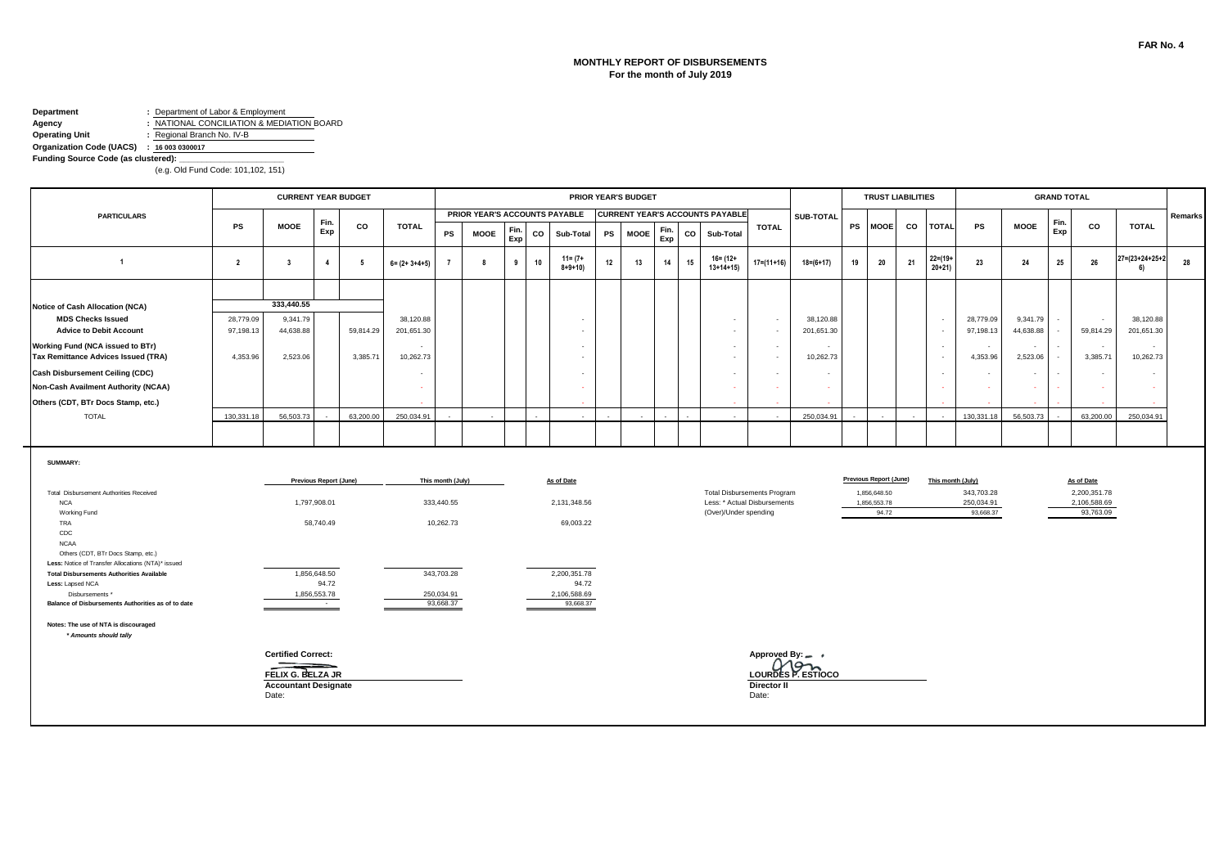#### **MONTHLY REPORT OF DISBURSEMENTS For the month of July 2019**

## **Department :** Department of Labor & Employment

**Agency :** NATIONAL CONCILIATION & MEDIATION BOARD **Operating Unit :** Regional Branch No. IV-B

**Organization Code (UACS) : 16 003 0300017 Funding Source Code (as clustered):** 

|                                                                                                         |                        | <b>CURRENT YEAR BUDGET</b>                                                             |                                 |           |                         |                         |             |             |    |                               |           | PRIOR YEAR'S BUDGET |             |    |                                        |                                           |                           |           | <b>TRUST LIABILITIES</b> |    |                         |                   |                         |                       | <b>GRAND TOTAL</b> |                           |                         |         |
|---------------------------------------------------------------------------------------------------------|------------------------|----------------------------------------------------------------------------------------|---------------------------------|-----------|-------------------------|-------------------------|-------------|-------------|----|-------------------------------|-----------|---------------------|-------------|----|----------------------------------------|-------------------------------------------|---------------------------|-----------|--------------------------|----|-------------------------|-------------------|-------------------------|-----------------------|--------------------|---------------------------|-------------------------|---------|
| <b>PARTICULARS</b>                                                                                      |                        |                                                                                        | Fin.                            |           |                         |                         |             |             |    | PRIOR YEAR'S ACCOUNTS PAYABLE |           |                     |             |    | <b>CURRENT YEAR'S ACCOUNTS PAYABLE</b> |                                           | <b>SUB-TOTAL</b>          |           |                          |    |                         |                   |                         |                       | Fin.               |                           |                         | Remarks |
|                                                                                                         | <b>PS</b>              | <b>MOOE</b>                                                                            | Exp                             | CO        | <b>TOTAL</b>            | PS                      | <b>MOOE</b> | Fin.<br>Exp | co | Sub-Total                     | <b>PS</b> | <b>MOOE</b>         | Fin.<br>Exp | co | Sub-Total                              | <b>TOTAL</b>                              |                           | <b>PS</b> | <b>MOOE</b>              | co |                         | <b>TOTAL</b>      | <b>PS</b>               | <b>MOOE</b>           | Exp                | CO                        | <b>TOTAL</b>            |         |
| $\overline{1}$                                                                                          | $\overline{2}$         | $\overline{\mathbf{3}}$                                                                | $\overline{4}$                  | - 5       | $6 = (2 + 3 + 4 + 5)$   | $\overline{7}$          | 8           | 9           | 10 | $11 = (7 +$<br>$8 + 9 + 10$   | 12        | 13                  | 14          | 15 | $16 = (12 +$<br>$13+14+15$             | 17=(11+16)                                | $18 = (6 + 17)$           | 19        | 20                       | 21 | $22 = (19 +$<br>$20+21$ |                   | 23                      | 24                    | 25                 | 26                        | 27=(23+24+25+2<br>6)    | 28      |
|                                                                                                         |                        |                                                                                        |                                 |           |                         |                         |             |             |    |                               |           |                     |             |    |                                        |                                           |                           |           |                          |    |                         |                   |                         |                       |                    |                           |                         |         |
| <b>Notice of Cash Allocation (NCA)</b>                                                                  |                        | 333,440.55                                                                             |                                 |           |                         |                         |             |             |    |                               |           |                     |             |    |                                        |                                           |                           |           |                          |    |                         |                   |                         |                       |                    |                           |                         |         |
| <b>MDS Checks Issued</b><br><b>Advice to Debit Account</b>                                              | 28,779.09<br>97,198.13 | 9,341.79<br>44,638.88                                                                  |                                 | 59,814.29 | 38,120.88<br>201,651.30 |                         |             |             |    |                               |           |                     |             |    | $\sim$<br>$\sim$                       | $\sim$<br>$\overline{\phantom{a}}$        | 38,120.88<br>201,651.30   |           |                          |    |                         | $\sim$<br>$\sim$  | 28,779.09<br>97,198.13  | 9,341.79<br>44,638.88 |                    | $\sim$<br>59,814.29       | 38,120.88<br>201,651.30 |         |
| Working Fund (NCA issued to BTr)<br>Tax Remittance Advices Issued (TRA)                                 | 4,353.96               | 2,523.06                                                                               |                                 | 3,385.71  | $\sim$<br>10,262.73     |                         |             |             |    | $\sim$                        |           |                     |             |    | $\sim$<br>$\sim$                       | $\sim$<br>$\sim$                          | 10,262.73                 |           |                          |    |                         | $\sim$<br>$\sim$  | $\sim$<br>4,353.96      | $\sim$<br>2,523.06    | $\sim$             | $\sim$<br>3,385.71        | $\sim$<br>10,262.73     |         |
| <b>Cash Disbursement Ceiling (CDC)</b>                                                                  |                        |                                                                                        |                                 |           | $\sim$                  |                         |             |             |    |                               |           |                     |             |    | $\sim$                                 |                                           |                           |           |                          |    |                         | $\sim$            |                         | $\sim$                |                    | $\sim$                    |                         |         |
| Non-Cash Availment Authority (NCAA)                                                                     |                        |                                                                                        |                                 |           | $\sim$                  |                         |             |             |    |                               |           |                     |             |    | $\Delta \tau$                          |                                           |                           |           |                          |    |                         | $\sim$            |                         |                       |                    | $\sim$                    |                         |         |
| Others (CDT, BTr Docs Stamp, etc.)                                                                      |                        |                                                                                        |                                 |           |                         |                         |             |             |    |                               |           |                     |             |    |                                        |                                           |                           |           |                          |    |                         |                   |                         |                       |                    |                           |                         |         |
| <b>TOTAL</b>                                                                                            | 130.331.18             | 56.503.73                                                                              |                                 | 63,200,00 | 250.034.91              |                         |             |             |    |                               |           |                     |             |    |                                        |                                           | 250.034.91                |           |                          |    |                         |                   | 130.331.18              | 56.503.73             |                    | 63,200.00                 | 250.034.91              |         |
|                                                                                                         |                        |                                                                                        |                                 |           |                         |                         |             |             |    |                               |           |                     |             |    |                                        |                                           |                           |           |                          |    |                         |                   |                         |                       |                    |                           |                         |         |
| <b>SUMMARY:</b>                                                                                         |                        |                                                                                        | <b>Previous Report (June)</b>   |           |                         | This month (July)       |             |             |    | As of Date                    |           |                     |             |    |                                        |                                           |                           |           | Previous Report (June)   |    |                         | This month (July) |                         |                       |                    | As of Date                |                         |         |
| Total Disbursement Authorities Received                                                                 |                        |                                                                                        |                                 |           |                         |                         |             |             |    |                               |           |                     |             |    |                                        | <b>Total Disbursements Program</b>        |                           |           | 1,856,648.50             |    |                         |                   | 343,703.28              |                       |                    | 2,200,351.78              |                         |         |
| <b>NCA</b>                                                                                              |                        |                                                                                        | 1,797,908.01                    |           |                         | 333,440.55              |             |             |    | 2,131,348.56                  |           |                     |             |    |                                        | Less: * Actual Disbursements              |                           |           | 1.856,553.78             |    |                         |                   | 250,034.91<br>93,668.37 |                       |                    | 2,106,588.69<br>93,763.09 |                         |         |
| Working Fund<br>TRA<br>CDC                                                                              |                        |                                                                                        | 58,740.49                       |           |                         | 10,262.73               |             |             |    | 69,003.22                     |           |                     |             |    | (Over)/Under spending                  |                                           |                           |           | 94.72                    |    |                         |                   |                         |                       |                    |                           |                         |         |
| <b>NCAA</b><br>Others (CDT, BTr Docs Stamp, etc.)<br>Less: Notice of Transfer Allocations (NTA)* issued |                        |                                                                                        |                                 |           |                         |                         |             |             |    |                               |           |                     |             |    |                                        |                                           |                           |           |                          |    |                         |                   |                         |                       |                    |                           |                         |         |
| <b>Total Disbursements Authorities Available</b><br>Less: Lapsed NCA                                    |                        |                                                                                        | 1,856,648.50<br>94.72           |           |                         | 343,703.28              |             |             |    | 2,200,351.78<br>94.72         |           |                     |             |    |                                        |                                           |                           |           |                          |    |                         |                   |                         |                       |                    |                           |                         |         |
| Disbursements *<br>Balance of Disbursements Authorities as of to date                                   |                        |                                                                                        | 1,856,553.78<br><b>Contract</b> |           |                         | 250,034.91<br>93,668.37 |             |             |    | 2,106,588.69<br>93,668.37     |           |                     |             |    |                                        |                                           |                           |           |                          |    |                         |                   |                         |                       |                    |                           |                         |         |
| Notes: The use of NTA is discouraged<br>* Amounts should tally                                          |                        |                                                                                        |                                 |           |                         |                         |             |             |    |                               |           |                     |             |    |                                        |                                           |                           |           |                          |    |                         |                   |                         |                       |                    |                           |                         |         |
|                                                                                                         |                        | <b>Certified Correct:</b><br>FELIX G. BELZA JR<br><b>Accountant Designate</b><br>Date: |                                 |           |                         |                         |             |             |    |                               |           |                     |             |    |                                        | Approved By: __ ,<br>Director II<br>Date: | Mon<br>LOURDES P. ESTIOCO |           |                          |    |                         |                   |                         |                       |                    |                           |                         |         |
|                                                                                                         |                        |                                                                                        |                                 |           |                         |                         |             |             |    |                               |           |                     |             |    |                                        |                                           |                           |           |                          |    |                         |                   |                         |                       |                    |                           |                         |         |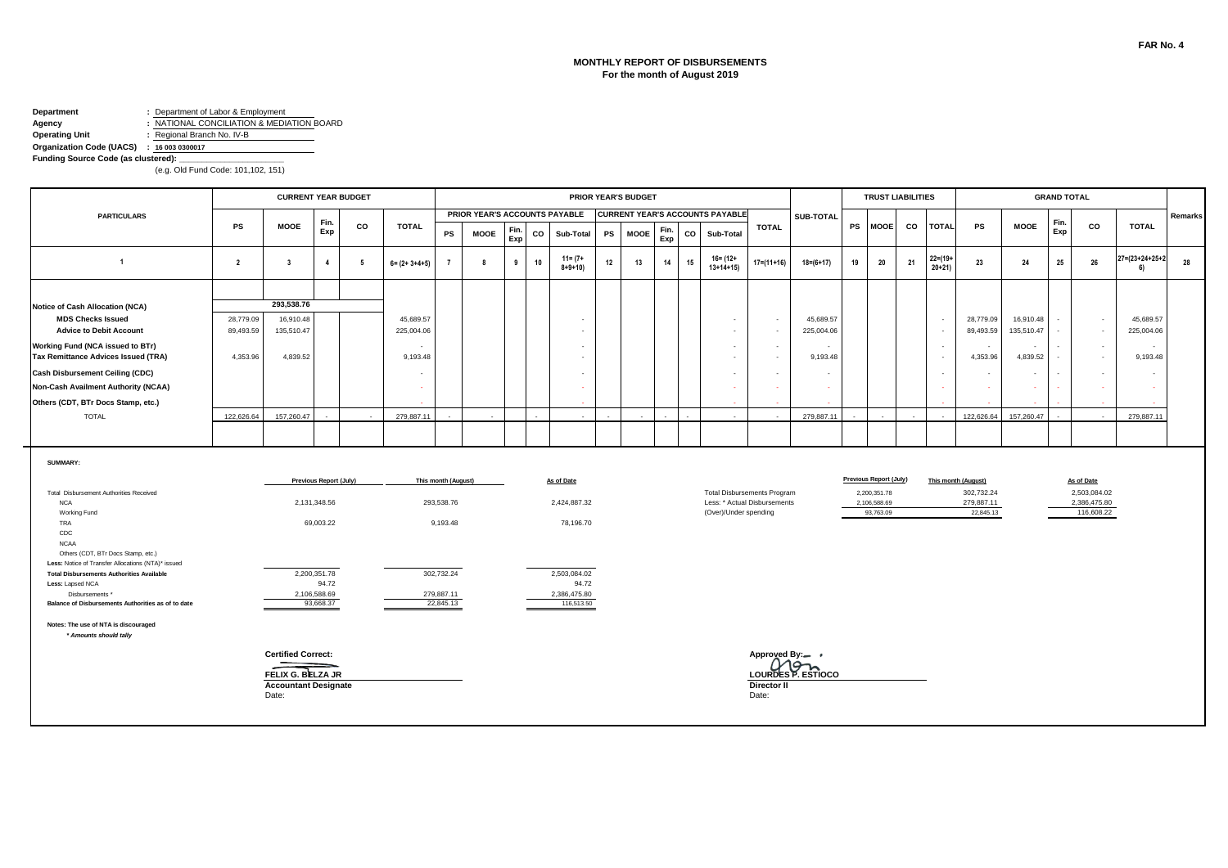#### **MONTHLY REPORT OF DISBURSEMENTS For the month of August 2019**

# **Department :** Department of Labor & Employment

**Agency :** NATIONAL CONCILIATION & MEDIATION BOARD **Operating Unit :** Regional Branch No. IV-B

### **Organization Code (UACS) : 16 003 0300017**

**Funding Source Code (as clustered):** 

|                                                                                          |                        | <b>CURRENT YEAR BUDGET</b>                                                             |                               |    |                          |                         |                               |             |    |                             |    | <b>PRIOR YEAR'S BUDGET</b> |             |    |                                        |                                                                    |                           |    |                                           | <b>TRUST LIABILITIES</b> |                         |                                       |                         | <b>GRAND TOTAL</b> |                                            |                         |         |
|------------------------------------------------------------------------------------------|------------------------|----------------------------------------------------------------------------------------|-------------------------------|----|--------------------------|-------------------------|-------------------------------|-------------|----|-----------------------------|----|----------------------------|-------------|----|----------------------------------------|--------------------------------------------------------------------|---------------------------|----|-------------------------------------------|--------------------------|-------------------------|---------------------------------------|-------------------------|--------------------|--------------------------------------------|-------------------------|---------|
| <b>PARTICULARS</b>                                                                       |                        |                                                                                        |                               |    |                          |                         | PRIOR YEAR'S ACCOUNTS PAYABLE |             |    |                             |    |                            |             |    | <b>CURRENT YEAR'S ACCOUNTS PAYABLE</b> |                                                                    | <b>SUB-TOTAL</b>          |    |                                           |                          |                         |                                       |                         |                    |                                            |                         | Remarks |
|                                                                                          | <b>PS</b>              | <b>MOOE</b>                                                                            | Fin.<br>Exp                   | CO | <b>TOTAL</b>             | PS                      | <b>MOOE</b>                   | Fin.<br>Exp | CO | Sub-Total                   | PS | <b>MOOE</b>                | Fin.<br>Exp | CO | Sub-Total                              | <b>TOTAL</b>                                                       |                           |    | PS MOOE                                   | CO                       | <b>TOTAL</b>            | <b>PS</b>                             | <b>MOOE</b>             | Fin.<br>Exp        | CO                                         | <b>TOTAL</b>            |         |
| $\overline{1}$                                                                           | $\overline{2}$         | $\overline{\mathbf{3}}$                                                                | $\overline{4}$                | 5  | $6 = (2 + 3 + 4 + 5)$    |                         | 8                             | 9           | 10 | $11 = (7 +$<br>$8 + 9 + 10$ | 12 | 13                         | 14          | 15 | $16 = (12 +$<br>$13+14+15$             | $17=(11+16)$                                                       | $18=(6+17)$               | 19 | 20                                        | 21                       | $22 = (19 +$<br>$20+21$ | 23                                    | 24                      | 25                 | 26                                         | 27=(23+24+25+2<br>6)    | 28      |
|                                                                                          |                        |                                                                                        |                               |    |                          |                         |                               |             |    |                             |    |                            |             |    |                                        |                                                                    |                           |    |                                           |                          |                         |                                       |                         |                    |                                            |                         |         |
| Notice of Cash Allocation (NCA)                                                          |                        | 293,538.76                                                                             |                               |    |                          |                         |                               |             |    |                             |    |                            |             |    |                                        |                                                                    |                           |    |                                           |                          |                         |                                       |                         |                    |                                            |                         |         |
| <b>MDS Checks Issued</b><br><b>Advice to Debit Account</b>                               | 28,779.09<br>89,493.59 | 16,910.48<br>135,510.47                                                                |                               |    | 45,689.57<br>225,004.06  |                         |                               |             |    |                             |    |                            |             |    | $\overline{\phantom{a}}$               | $\sim$<br>$\sim$                                                   | 45,689.57<br>225,004.06   |    |                                           |                          | $\sim$<br>$\sim$        | 28,779.09<br>89,493.59                | 16,910.48<br>135,510.47 |                    | $\sim$<br>$\sim$                           | 45,689.57<br>225,004.06 |         |
| Working Fund (NCA issued to BTr)<br>Tax Remittance Advices Issued (TRA)                  | 4,353.96               | 4,839.52                                                                               |                               |    | $\sim$<br>9,193.48       |                         |                               |             |    |                             |    |                            |             |    |                                        | $\sim$<br>$\overline{\phantom{a}}$                                 | ٠<br>9,193.48             |    |                                           |                          | $\sim$<br>$\sim$        | 4,353.96                              | $\sim$<br>4,839.52      |                    | $\sim$<br>$\sim$                           | $\sim$<br>9,193.48      |         |
| <b>Cash Disbursement Ceiling (CDC)</b>                                                   |                        |                                                                                        |                               |    | $\overline{\phantom{a}}$ |                         |                               |             |    |                             |    |                            |             |    |                                        | $\blacksquare$                                                     |                           |    |                                           |                          | $\sim$                  |                                       | $\sim$                  |                    | $\sim$                                     |                         |         |
| Non-Cash Availment Authority (NCAA)                                                      |                        |                                                                                        |                               |    | $\sim$                   |                         |                               |             |    |                             |    |                            |             |    |                                        |                                                                    | $\sim$                    |    |                                           |                          | $\sim$                  |                                       | <b>FAX</b>              |                    | $\sim$                                     |                         |         |
| Others (CDT, BTr Docs Stamp, etc.)                                                       |                        |                                                                                        |                               |    |                          |                         |                               |             |    |                             |    |                            |             |    |                                        |                                                                    |                           |    |                                           |                          |                         |                                       |                         |                    |                                            |                         |         |
| <b>TOTAL</b>                                                                             | 122,626.64             | 157,260.47                                                                             |                               |    | 279,887.11               |                         |                               |             |    |                             |    |                            |             |    |                                        |                                                                    | 279,887.11                |    |                                           |                          |                         | 122,626.64                            | 157,260.47              |                    |                                            | 279,887.11              |         |
|                                                                                          |                        |                                                                                        |                               |    |                          |                         |                               |             |    |                             |    |                            |             |    |                                        |                                                                    |                           |    |                                           |                          |                         |                                       |                         |                    |                                            |                         |         |
| SUMMARY:                                                                                 |                        |                                                                                        |                               |    |                          |                         |                               |             |    |                             |    |                            |             |    |                                        |                                                                    |                           |    |                                           |                          |                         |                                       |                         |                    |                                            |                         |         |
|                                                                                          |                        |                                                                                        | <b>Previous Report (July)</b> |    |                          | This month (August)     |                               |             |    | As of Date                  |    |                            |             |    |                                        |                                                                    |                           |    | <b>Previous Report (July)</b>             |                          |                         | This month (August)                   |                         |                    | As of Date                                 |                         |         |
| Total Disbursement Authorities Received<br><b>NCA</b><br>Working Fund                    |                        |                                                                                        | 2,131,348.56                  |    |                          | 293,538.76              |                               |             |    | 2,424,887.32                |    |                            |             |    | (Over)/Under spending                  | <b>Total Disbursements Program</b><br>Less: * Actual Disbursements |                           |    | 2,200,351.78<br>2,106,588.69<br>93,763.09 |                          |                         | 302,732.24<br>279,887.11<br>22,845.13 |                         |                    | 2,503,084.02<br>2,386,475.80<br>116,608.22 |                         |         |
| TRA<br>CDC<br><b>NCAA</b>                                                                |                        |                                                                                        | 69,003.22                     |    |                          | 9,193.48                |                               |             |    | 78,196.70                   |    |                            |             |    |                                        |                                                                    |                           |    |                                           |                          |                         |                                       |                         |                    |                                            |                         |         |
| Others (CDT, BTr Docs Stamp, etc.)<br>Less: Notice of Transfer Allocations (NTA)* issued |                        |                                                                                        |                               |    |                          |                         |                               |             |    |                             |    |                            |             |    |                                        |                                                                    |                           |    |                                           |                          |                         |                                       |                         |                    |                                            |                         |         |
| <b>Total Disbursements Authorities Available</b><br>Less: Lapsed NCA                     |                        |                                                                                        | 2,200,351.78<br>94.72         |    |                          | 302,732.24              |                               |             |    | 2,503,084.02<br>94.72       |    |                            |             |    |                                        |                                                                    |                           |    |                                           |                          |                         |                                       |                         |                    |                                            |                         |         |
| Disbursements *<br>Balance of Disbursements Authorities as of to date                    |                        |                                                                                        | 2,106,588.69<br>93,668.37     |    |                          | 279,887.11<br>22,845.13 |                               |             |    | 2,386,475.80<br>116,513.50  |    |                            |             |    |                                        |                                                                    |                           |    |                                           |                          |                         |                                       |                         |                    |                                            |                         |         |
| Notes: The use of NTA is discouraged<br>* Amounts should tally                           |                        |                                                                                        |                               |    |                          |                         |                               |             |    |                             |    |                            |             |    |                                        |                                                                    |                           |    |                                           |                          |                         |                                       |                         |                    |                                            |                         |         |
|                                                                                          |                        | <b>Certified Correct:</b><br>FELIX G. BELZA JR<br><b>Accountant Designate</b><br>Date: |                               |    |                          |                         |                               |             |    |                             |    |                            |             |    |                                        | Approved By:-<br>Director II<br>Date:                              | Mon<br>LOURDES P. ESTIOCO |    |                                           |                          |                         |                                       |                         |                    |                                            |                         |         |
|                                                                                          |                        |                                                                                        |                               |    |                          |                         |                               |             |    |                             |    |                            |             |    |                                        |                                                                    |                           |    |                                           |                          |                         |                                       |                         |                    |                                            |                         |         |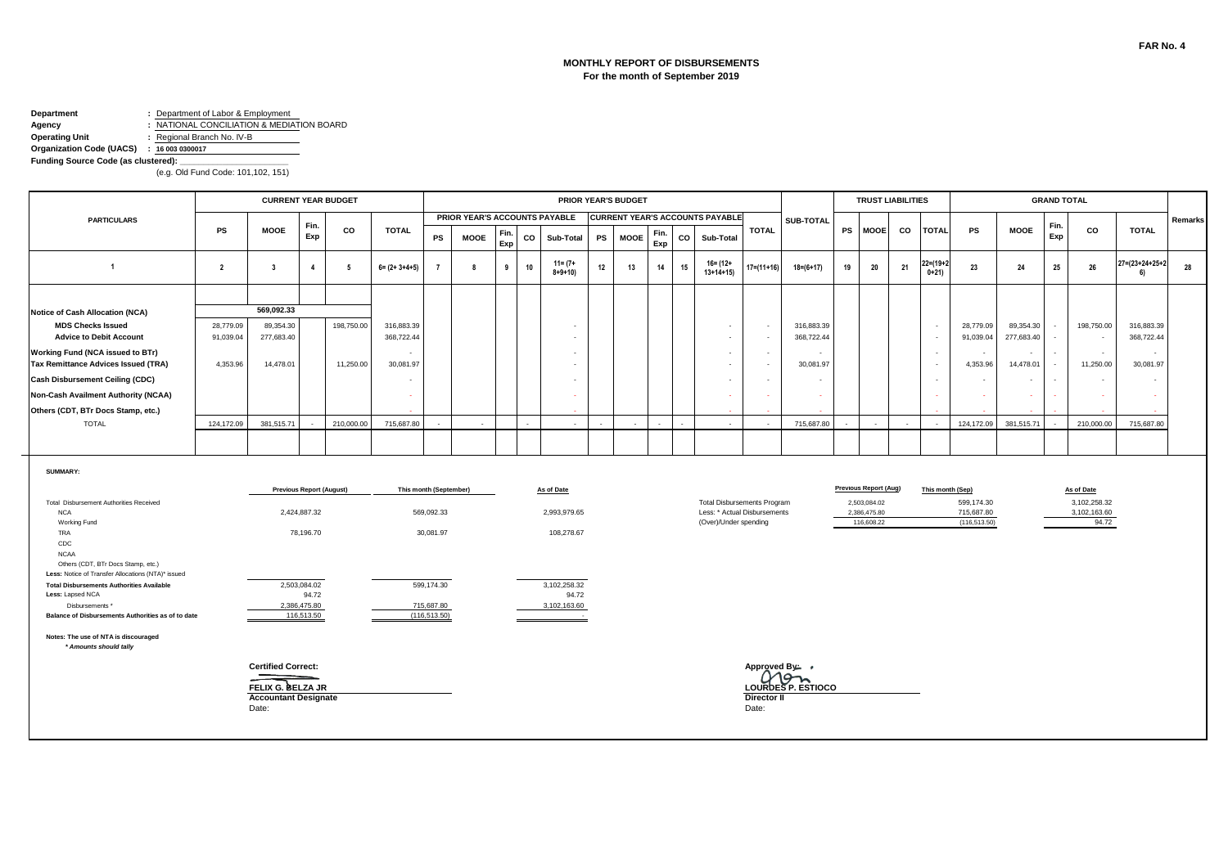#### **MONTHLY REPORT OF DISBURSEMENTS For the month of September 2019**

# **Department :** Department of Labor & Employment<br>**Agency :** NATIONAL CONCILIATION & MEDIA

**Agency :** NATIONAL CONCILIATION & MEDIATION BOARD **Operating Unit :** Regional Branch No. IV-B

**Organization Code (UACS) : 16 003 0300017**

Funding Source Code (as clustered):

|                                                                                                                                                                                                                                                                              |                |                                                                                        |                                                                              | <b>CURRENT YEAR BUDGET</b> |                            |                                                                 |                               |             |    |                                                          |           | PRIOR YEAR'S BUDGET |             |    |                                                                                             |                                               |                     |           | <b>TRUST LIABILITIES</b>                                                   |    |                                                      |                                                               |                     | <b>GRAND TOTAL</b>       |                                                     |                      |         |
|------------------------------------------------------------------------------------------------------------------------------------------------------------------------------------------------------------------------------------------------------------------------------|----------------|----------------------------------------------------------------------------------------|------------------------------------------------------------------------------|----------------------------|----------------------------|-----------------------------------------------------------------|-------------------------------|-------------|----|----------------------------------------------------------|-----------|---------------------|-------------|----|---------------------------------------------------------------------------------------------|-----------------------------------------------|---------------------|-----------|----------------------------------------------------------------------------|----|------------------------------------------------------|---------------------------------------------------------------|---------------------|--------------------------|-----------------------------------------------------|----------------------|---------|
| <b>PARTICULARS</b>                                                                                                                                                                                                                                                           |                |                                                                                        |                                                                              |                            |                            |                                                                 | PRIOR YEAR'S ACCOUNTS PAYABLE |             |    |                                                          |           |                     |             |    | <b>CURRENT YEAR'S ACCOUNTS PAYABLE</b>                                                      |                                               | SUB-TOTAL           |           |                                                                            |    |                                                      |                                                               |                     |                          |                                                     |                      | Remarks |
|                                                                                                                                                                                                                                                                              | <b>PS</b>      | <b>MOOE</b>                                                                            | Fin.<br>Exp                                                                  | co                         | <b>TOTAL</b>               | PS                                                              | <b>MOOE</b>                   | Fin.<br>Exp | co | Sub-Total                                                | <b>PS</b> | <b>MOOE</b>         | Fin.<br>Exp | CO | Sub-Total                                                                                   | <b>TOTAL</b>                                  |                     | <b>PS</b> | <b>MOOE</b>                                                                | co | <b>TOTAL</b>                                         | <b>PS</b>                                                     | <b>MOOE</b>         | Fin.<br>Exp              | CO                                                  | <b>TOTAL</b>         |         |
| $\overline{1}$                                                                                                                                                                                                                                                               | $\overline{2}$ | $\overline{\mathbf{3}}$                                                                | $\overline{4}$                                                               | -5                         | $6 = (2 + 3 + 4 + 5)$      | $\overline{7}$                                                  | 8                             | 9           | 10 | $11 = (7 +$<br>$8 + 9 + 10$                              | 12        | 13                  | 14          | 15 | $16 = (12 +$<br>$13+14+15$                                                                  | $17 = (11 + 16)$                              | $18 = (6 + 17)$     | 19        | 20                                                                         | 21 | 22=(19+2<br>$0+21$                                   | 23                                                            | 24                  | 25                       | 26                                                  | 27=(23+24+25+2<br>6) | 28      |
|                                                                                                                                                                                                                                                                              |                |                                                                                        |                                                                              |                            |                            |                                                                 |                               |             |    |                                                          |           |                     |             |    |                                                                                             |                                               |                     |           |                                                                            |    |                                                      |                                                               |                     |                          |                                                     |                      |         |
| Notice of Cash Allocation (NCA)                                                                                                                                                                                                                                              |                | 569.092.33                                                                             |                                                                              |                            |                            |                                                                 |                               |             |    |                                                          |           |                     |             |    |                                                                                             |                                               |                     |           |                                                                            |    |                                                      |                                                               |                     |                          |                                                     |                      |         |
| <b>MDS Checks Issued</b>                                                                                                                                                                                                                                                     | 28,779.09      | 89,354.30                                                                              |                                                                              | 198,750.00                 | 316,883.39                 |                                                                 |                               |             |    |                                                          |           |                     |             |    | $\sim$                                                                                      | $\sim$                                        | 316,883.39          |           |                                                                            |    | $\sim$                                               | 28,779.09                                                     | 89,354.30           |                          | 198,750.00                                          | 316,883.39           |         |
| <b>Advice to Debit Account</b>                                                                                                                                                                                                                                               | 91,039.04      | 277,683.40                                                                             |                                                                              |                            | 368,722.44                 |                                                                 |                               |             |    |                                                          |           |                     |             |    | $\sim$                                                                                      | $\sim$                                        | 368,722.44          |           |                                                                            |    | $\overline{\phantom{a}}$                             | 91,039.04                                                     | 277,683.40          | $\sim$                   | $\sim$                                              | 368,722.44           |         |
| Working Fund (NCA issued to BTr)<br>Tax Remittance Advices Issued (TRA)                                                                                                                                                                                                      | 4,353.96       | 14,478.01                                                                              |                                                                              | 11,250.00                  | 30,081.97                  |                                                                 |                               |             |    |                                                          |           |                     |             |    | $\sim$<br>$\blacksquare$                                                                    | $\sim$<br>$\sim$                              | $\sim$<br>30,081.97 |           |                                                                            |    | $\overline{\phantom{a}}$<br>$\overline{\phantom{a}}$ | $\overline{\phantom{a}}$<br>4,353.96                          | $\sim$<br>14,478.01 | ٠                        | $\sim$<br>11,250.00                                 | $\sim$<br>30,081.97  |         |
| Cash Disbursement Ceiling (CDC)                                                                                                                                                                                                                                              |                |                                                                                        |                                                                              |                            |                            |                                                                 |                               |             |    |                                                          |           |                     |             |    | $\sim$                                                                                      | $\sim$                                        |                     |           |                                                                            |    | $\sim$                                               | $\sim$                                                        | $\sim$              | $\overline{\phantom{a}}$ |                                                     |                      |         |
|                                                                                                                                                                                                                                                                              |                |                                                                                        |                                                                              |                            |                            |                                                                 |                               |             |    |                                                          |           |                     |             |    |                                                                                             |                                               | $\sim$              |           |                                                                            |    |                                                      |                                                               |                     |                          | $\overline{\phantom{a}}$                            |                      |         |
| Non-Cash Availment Authority (NCAA)                                                                                                                                                                                                                                          |                |                                                                                        |                                                                              |                            | <b><i><u>Parts</u></i></b> |                                                                 |                               |             |    |                                                          |           |                     |             |    | ÷.                                                                                          |                                               | $\sim$              |           |                                                                            |    | ٠                                                    | ÷                                                             | ٠                   |                          | $\sim$                                              |                      |         |
| Others (CDT, BTr Docs Stamp, etc.)                                                                                                                                                                                                                                           |                |                                                                                        |                                                                              |                            |                            |                                                                 |                               |             |    |                                                          |           |                     |             |    |                                                                                             |                                               |                     |           |                                                                            |    |                                                      |                                                               |                     |                          |                                                     |                      |         |
| <b>TOTAL</b>                                                                                                                                                                                                                                                                 | 124,172.09     | 381,515.71                                                                             |                                                                              | 210,000,00                 | 715,687.80                 |                                                                 |                               |             |    | $\overline{\phantom{a}}$                                 |           |                     |             |    | $\sim$                                                                                      |                                               | 715,687.80          |           |                                                                            |    |                                                      | 124.172.09                                                    | 381.515.71          |                          | 210.000.00                                          | 715.687.80           |         |
|                                                                                                                                                                                                                                                                              |                |                                                                                        |                                                                              |                            |                            |                                                                 |                               |             |    |                                                          |           |                     |             |    |                                                                                             |                                               |                     |           |                                                                            |    |                                                      |                                                               |                     |                          |                                                     |                      |         |
| <b>SUMMARY:</b><br>Total Disbursement Authorities Received<br><b>NCA</b><br>Working Fund<br><b>TRA</b><br>CDC<br><b>NCAA</b><br>Others (CDT, BTr Docs Stamp, etc.)<br>Less: Notice of Transfer Allocations (NTA)* issued<br><b>Total Disbursements Authorities Available</b> |                |                                                                                        | <b>Previous Report (August)</b><br>2,424,887.32<br>78,196.70<br>2,503,084.02 |                            |                            | This month (September)<br>569,092.33<br>30,081.97<br>599,174.30 |                               |             |    | As of Date<br>2,993,979.65<br>108,278.67<br>3,102,258.32 |           |                     |             |    | <b>Total Disbursements Program</b><br>Less: * Actual Disbursements<br>(Over)/Under spending |                                               |                     |           | <b>Previous Report (Aug)</b><br>2,503,084.02<br>2,386,475.80<br>116,608.22 |    |                                                      | This month (Sep)<br>599,174.30<br>715,687.80<br>(116, 513.50) |                     |                          | As of Date<br>3,102,258.32<br>3,102,163.60<br>94.72 |                      |         |
| Less: Lapsed NCA                                                                                                                                                                                                                                                             |                |                                                                                        | 94.72                                                                        |                            |                            |                                                                 |                               |             |    | 94.72                                                    |           |                     |             |    |                                                                                             |                                               |                     |           |                                                                            |    |                                                      |                                                               |                     |                          |                                                     |                      |         |
| Disbursements *<br>Balance of Disbursements Authorities as of to date                                                                                                                                                                                                        |                |                                                                                        | 2,386,475.80<br>116,513.50                                                   |                            |                            | 715,687.80<br>(116, 513.50)                                     |                               |             |    | 3,102,163.60<br>$\sim$                                   |           |                     |             |    |                                                                                             |                                               |                     |           |                                                                            |    |                                                      |                                                               |                     |                          |                                                     |                      |         |
| Notes: The use of NTA is discouraged<br>* Amounts should tally                                                                                                                                                                                                               |                |                                                                                        |                                                                              |                            |                            |                                                                 |                               |             |    |                                                          |           |                     |             |    |                                                                                             |                                               |                     |           |                                                                            |    |                                                      |                                                               |                     |                          |                                                     |                      |         |
|                                                                                                                                                                                                                                                                              |                | <b>Certified Correct:</b><br>FELIX G. BELZA JR<br><b>Accountant Designate</b><br>Date: |                                                                              |                            |                            |                                                                 |                               |             |    |                                                          |           |                     |             |    |                                                                                             | Approved By: ,<br><b>Director II</b><br>Date: | LOURDES P. ESTIOCO  |           |                                                                            |    |                                                      |                                                               |                     |                          |                                                     |                      |         |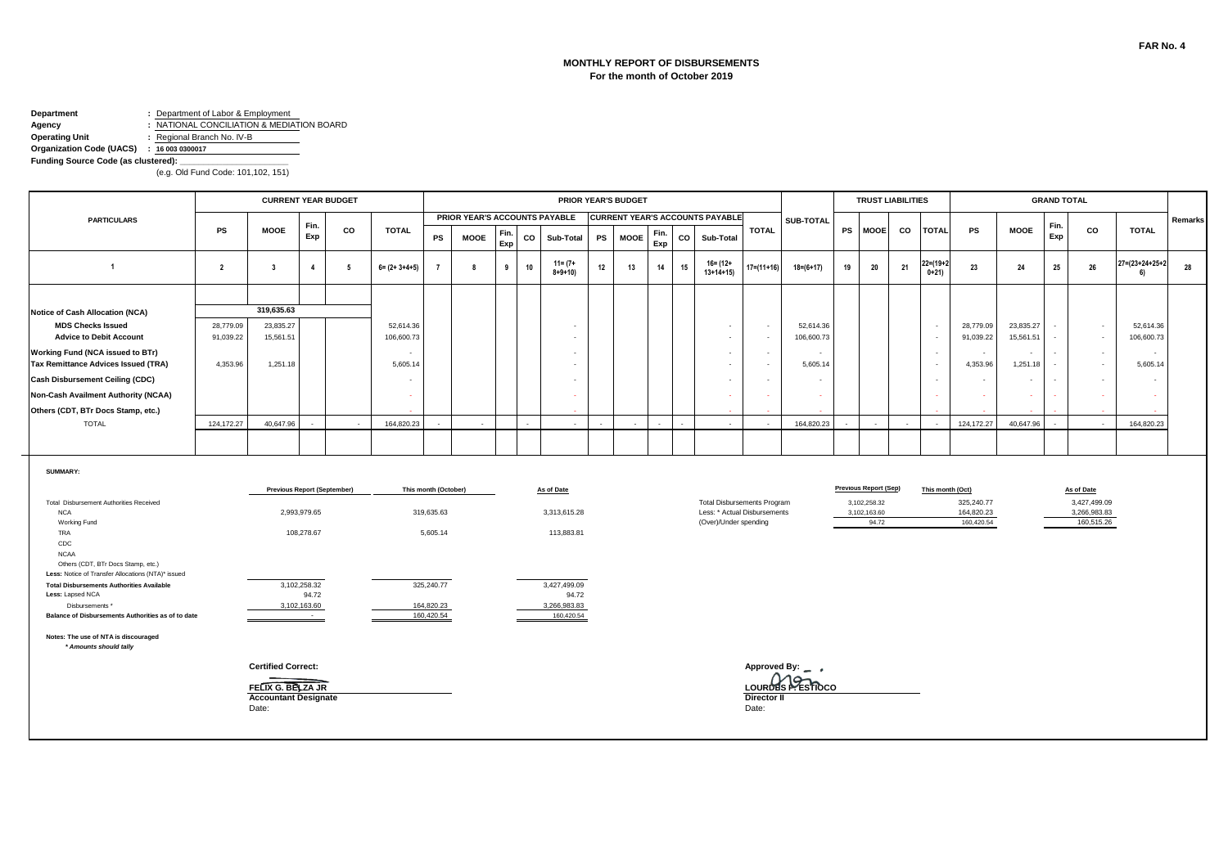#### **MONTHLY REPORT OF DISBURSEMENTS For the month of October 2019**

# **Department :** Department of Labor & Employment<br>**Agency :** NATIONAL CONCILIATION & MEDIA

**Agency :** NATIONAL CONCILIATION & MEDIATION BOARD **Operating Unit :** Regional Branch No. IV-B

**Organization Code (UACS) : 16 003 0300017**

Funding Source Code (as clustered):

|                                                                                                                                                                                                                                                                                                                                                 |                         | <b>CURRENT YEAR BUDGET</b>                                                             |                                                                               |                          |                       |                                                                                          |                               |             |             |                                                                                                 | PRIOR YEAR'S BUDGET                    |             |             |                                                                                             |                             |                                      |           | <b>TRUST LIABILITIES</b>                                              |    |                          |                                        |                          | <b>GRAND TOTAL</b> |                                                          |                                 |         |
|-------------------------------------------------------------------------------------------------------------------------------------------------------------------------------------------------------------------------------------------------------------------------------------------------------------------------------------------------|-------------------------|----------------------------------------------------------------------------------------|-------------------------------------------------------------------------------|--------------------------|-----------------------|------------------------------------------------------------------------------------------|-------------------------------|-------------|-------------|-------------------------------------------------------------------------------------------------|----------------------------------------|-------------|-------------|---------------------------------------------------------------------------------------------|-----------------------------|--------------------------------------|-----------|-----------------------------------------------------------------------|----|--------------------------|----------------------------------------|--------------------------|--------------------|----------------------------------------------------------|---------------------------------|---------|
| <b>PARTICULARS</b>                                                                                                                                                                                                                                                                                                                              |                         |                                                                                        |                                                                               |                          |                       |                                                                                          | PRIOR YEAR'S ACCOUNTS PAYABLE |             |             |                                                                                                 | <b>CURRENT YEAR'S ACCOUNTS PAYABLE</b> |             |             |                                                                                             |                             | SUB-TOTAL                            |           |                                                                       |    |                          |                                        |                          |                    |                                                          |                                 | Remarks |
|                                                                                                                                                                                                                                                                                                                                                 | <b>PS</b>               | <b>MOOE</b>                                                                            | Fin.<br>Exp                                                                   | co                       | <b>TOTAL</b>          | PS                                                                                       | <b>MOOE</b>                   | Fin.<br>Exp | $_{\rm co}$ | Sub-Total                                                                                       | <b>PS</b><br><b>MOOE</b>               | Fin.<br>Exp | $_{\rm co}$ | Sub-Total                                                                                   | <b>TOTAL</b>                |                                      | <b>PS</b> | <b>MOOE</b>                                                           | co | <b>TOTAL</b>             | PS                                     | <b>MOOE</b>              | Fin.<br>Exp        | CO                                                       | <b>TOTAL</b>                    |         |
| $\overline{1}$                                                                                                                                                                                                                                                                                                                                  | $\overline{\mathbf{2}}$ | 3                                                                                      | $\overline{4}$                                                                | -5                       | $6 = (2 + 3 + 4 + 5)$ | $\overline{7}$                                                                           | 8                             | 9           | 10          | $11 = (7 +$<br>$8 + 9 + 10$                                                                     | 12<br>13                               | 14          | 15          | $16 = (12 +$<br>$13+14+15$                                                                  | $17 = (11 + 16)$            | $18 = (6 + 17)$                      | 19        | 20                                                                    | 21 | 22=(19+<br>$0+21$        | 23                                     | 24                       | 25                 | 26                                                       | $27 = (23 + 24 + 25 + 2)$<br>6) | 28      |
|                                                                                                                                                                                                                                                                                                                                                 |                         |                                                                                        |                                                                               |                          |                       |                                                                                          |                               |             |             |                                                                                                 |                                        |             |             |                                                                                             |                             |                                      |           |                                                                       |    |                          |                                        |                          |                    |                                                          |                                 |         |
| Notice of Cash Allocation (NCA)                                                                                                                                                                                                                                                                                                                 |                         | 319.635.63                                                                             |                                                                               |                          |                       |                                                                                          |                               |             |             |                                                                                                 |                                        |             |             |                                                                                             |                             |                                      |           |                                                                       |    |                          |                                        |                          |                    |                                                          |                                 |         |
| <b>MDS Checks Issued</b>                                                                                                                                                                                                                                                                                                                        | 28,779.09               | 23,835.27                                                                              |                                                                               |                          | 52,614.36             |                                                                                          |                               |             |             |                                                                                                 |                                        |             |             | $\overline{\phantom{a}}$                                                                    | $\sim$                      | 52,614.36                            |           |                                                                       |    | $\sim$                   | 28,779.09                              | 23,835.27                |                    | $\sim$                                                   | 52,614.36                       |         |
| <b>Advice to Debit Account</b>                                                                                                                                                                                                                                                                                                                  | 91,039.22               | 15,561.51                                                                              |                                                                               |                          | 106,600.73            |                                                                                          |                               |             |             |                                                                                                 |                                        |             |             | $\sim$                                                                                      | $\sim$                      | 106,600.73                           |           |                                                                       |    | $\overline{\phantom{a}}$ | 91,039.22                              | 15,561.51                |                    | $\sim$                                                   | 106,600.73                      |         |
| <b>Working Fund (NCA issued to BTr)</b><br><b>Tax Remittance Advices Issued (TRA)</b>                                                                                                                                                                                                                                                           | 4,353.96                | 1,251.18                                                                               |                                                                               |                          | 5,605.14              |                                                                                          |                               |             |             |                                                                                                 |                                        |             |             | $\sim$<br>÷                                                                                 | $\sim$<br>$\sim$            | 5,605.14                             |           |                                                                       |    | $\overline{\phantom{a}}$ | $\overline{\phantom{a}}$<br>4,353.96   | $\sim$<br>1,251.18       | $\sim$<br>$\sim$   | $\overline{\phantom{a}}$<br>$\sim$                       | $\sim$<br>5,605.14              |         |
| Cash Disbursement Ceiling (CDC)                                                                                                                                                                                                                                                                                                                 |                         |                                                                                        |                                                                               |                          |                       |                                                                                          |                               |             |             |                                                                                                 |                                        |             |             | $\overline{\phantom{a}}$                                                                    | $\sim$                      | $\sim$                               |           |                                                                       |    | $\overline{\phantom{a}}$ | $\sim$                                 | $\overline{\phantom{a}}$ | $\sim$             | $\overline{\phantom{a}}$                                 |                                 |         |
|                                                                                                                                                                                                                                                                                                                                                 |                         |                                                                                        |                                                                               |                          |                       |                                                                                          |                               |             |             |                                                                                                 |                                        |             |             |                                                                                             |                             |                                      |           |                                                                       |    |                          |                                        |                          |                    |                                                          |                                 |         |
| Non-Cash Availment Authority (NCAA)                                                                                                                                                                                                                                                                                                             |                         |                                                                                        |                                                                               |                          | $\sim$                |                                                                                          |                               |             |             |                                                                                                 |                                        |             |             |                                                                                             |                             | $\sim$                               |           |                                                                       |    |                          | ÷                                      | ÷                        |                    | $\sim$                                                   |                                 |         |
| Others (CDT, BTr Docs Stamp, etc.)                                                                                                                                                                                                                                                                                                              |                         |                                                                                        |                                                                               |                          |                       |                                                                                          |                               |             |             |                                                                                                 |                                        |             |             |                                                                                             |                             |                                      |           |                                                                       |    |                          |                                        |                          |                    |                                                          |                                 |         |
| <b>TOTAL</b>                                                                                                                                                                                                                                                                                                                                    | 124,172.27              | 40.647.96                                                                              |                                                                               | $\overline{\phantom{a}}$ | 164.820.23            |                                                                                          | $\overline{\phantom{a}}$      |             |             |                                                                                                 |                                        |             |             | $\sim$                                                                                      |                             | 164,820.23                           |           |                                                                       |    |                          | 124, 172. 27                           | 40.647.96                |                    | $\sim$                                                   | 164.820.23                      |         |
|                                                                                                                                                                                                                                                                                                                                                 |                         |                                                                                        |                                                                               |                          |                       |                                                                                          |                               |             |             |                                                                                                 |                                        |             |             |                                                                                             |                             |                                      |           |                                                                       |    |                          |                                        |                          |                    |                                                          |                                 |         |
| Total Disbursement Authorities Received<br><b>NCA</b><br>Working Fund<br>TRA<br>CDC<br><b>NCAA</b><br>Others (CDT, BTr Docs Stamp, etc.)<br>Less: Notice of Transfer Allocations (NTA)* issued<br><b>Total Disbursements Authorities Available</b><br>Less: Lapsed NCA<br>Disbursements *<br>Balance of Disbursements Authorities as of to date |                         | <b>Previous Report (September)</b>                                                     | 2,993,979.65<br>108,278.67<br>3,102,258.32<br>94.72<br>3,102,163.60<br>$\sim$ |                          |                       | This month (October)<br>319,635.63<br>5,605.14<br>325,240.77<br>164,820.23<br>160.420.54 |                               |             |             | As of Date<br>3,313,615.28<br>113,883.81<br>3,427,499.09<br>94.72<br>3,266,983.83<br>160.420.54 |                                        |             |             | <b>Total Disbursements Program</b><br>Less: * Actual Disbursements<br>(Over)/Under spending |                             |                                      |           | <b>Previous Report (Sep)</b><br>3,102,258.32<br>3,102,163.60<br>94.72 |    | This month (Oct)         | 325,240.77<br>164,820.23<br>160,420.54 |                          |                    | As of Date<br>3,427,499.09<br>3,266,983.83<br>160,515.26 |                                 |         |
| Notes: The use of NTA is discouraged<br>* Amounts should tally                                                                                                                                                                                                                                                                                  |                         | <b>Certified Correct:</b><br>FELIX G. BELZA JR<br><b>Accountant Designate</b><br>Date: |                                                                               |                          |                       |                                                                                          |                               |             |             |                                                                                                 |                                        |             |             |                                                                                             | <b>Director II</b><br>Date: | Approved By: _ ,<br>LOURDES PESTIDCO |           |                                                                       |    |                          |                                        |                          |                    |                                                          |                                 |         |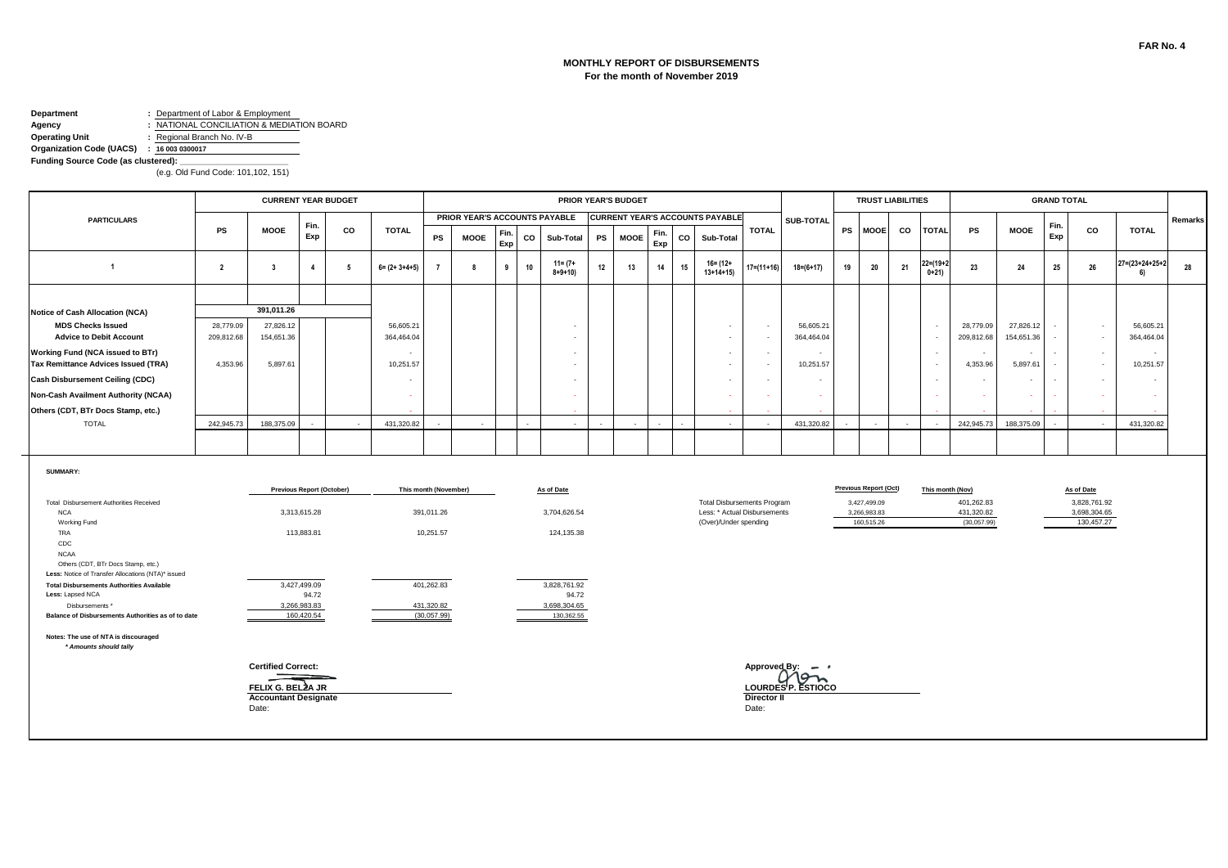#### **MONTHLY REPORT OF DISBURSEMENTS For the month of November 2019**

# **Department :** Department of Labor & Employment<br>**Agency :** NATIONAL CONCILIATION & MEDIA

**Agency :** NATIONAL CONCILIATION & MEDIATION BOARD **Operating Unit :** Regional Branch No. IV-B

**Organization Code (UACS) : 16 003 0300017**

Funding Source Code (as clustered):

|                                                                                                         |                | <b>CURRENT YEAR BUDGET</b>                                |                                  |    |                          |                           |                               |             |             |                             | PRIOR YEAR'S BUDGET      |             |             |                                                       |                      |                                 |           | <b>TRUST LIABILITIES</b>     |    |                   |                                      |               | <b>GRAND TOTAL</b>                 |                                           |                                 |         |
|---------------------------------------------------------------------------------------------------------|----------------|-----------------------------------------------------------|----------------------------------|----|--------------------------|---------------------------|-------------------------------|-------------|-------------|-----------------------------|--------------------------|-------------|-------------|-------------------------------------------------------|----------------------|---------------------------------|-----------|------------------------------|----|-------------------|--------------------------------------|---------------|------------------------------------|-------------------------------------------|---------------------------------|---------|
| <b>PARTICULARS</b>                                                                                      |                |                                                           |                                  |    |                          |                           | PRIOR YEAR'S ACCOUNTS PAYABLE |             |             |                             |                          |             |             | <b>CURRENT YEAR'S ACCOUNTS PAYABLE</b>                |                      | SUB-TOTAL                       |           |                              |    |                   |                                      |               |                                    |                                           |                                 | Remarks |
|                                                                                                         | <b>PS</b>      | <b>MOOE</b>                                               | Fin.<br>Exp                      | CO | <b>TOTAL</b>             | PS                        | <b>MOOE</b>                   | Fin.<br>Exp | $_{\rm co}$ | Sub-Total                   | <b>PS</b><br><b>MOOE</b> | Fin.<br>Exp | $_{\rm co}$ | Sub-Total                                             | <b>TOTAL</b>         |                                 | <b>PS</b> | <b>MOOE</b>                  | CO | <b>TOTAL</b>      | <b>PS</b>                            | <b>MOOE</b>   | Fin.<br>Exp                        | CO                                        | <b>TOTAL</b>                    |         |
| $\overline{1}$                                                                                          | $\overline{2}$ | 3                                                         | $\overline{4}$                   | -5 | $6 = (2 + 3 + 4 + 5)$    | $\overline{7}$            | 8                             | 9           | 10          | $11 = (7 +$<br>$8 + 9 + 10$ | 12<br>13                 | 14          | 15          | $16 = (12 +$<br>$13+14+15$                            | $17 = (11 + 16)$     | $18 = (6 + 17)$                 | 19        | 20                           | 21 | 22=(19+<br>$0+21$ | 23                                   | 24            | 25                                 | 26                                        | $27 = (23 + 24 + 25 + 2)$<br>6) | 28      |
|                                                                                                         |                |                                                           |                                  |    |                          |                           |                               |             |             |                             |                          |             |             |                                                       |                      |                                 |           |                              |    |                   |                                      |               |                                    |                                           |                                 |         |
| Notice of Cash Allocation (NCA)                                                                         |                | 391,011.26                                                |                                  |    |                          |                           |                               |             |             |                             |                          |             |             |                                                       |                      |                                 |           |                              |    |                   |                                      |               |                                    |                                           |                                 |         |
| <b>MDS Checks Issued</b>                                                                                | 28,779.09      | 27,826.12                                                 |                                  |    | 56,605.21                |                           |                               |             |             |                             |                          |             |             | $\overline{\phantom{a}}$                              | $\sim$               | 56,605.21                       |           |                              |    | $\sim$            | 28,779.09                            | 27,826.12     |                                    | $\cdot$                                   | 56,605.21                       |         |
| <b>Advice to Debit Account</b>                                                                          | 209,812.68     | 154,651.36                                                |                                  |    | 364,464.04               |                           |                               |             |             |                             |                          |             |             | $\overline{\phantom{a}}$                              | $\sim$               | 364,464.04                      |           |                              |    |                   | 209,812.68                           | 154,651.36    | $\blacksquare$                     | $\sim$                                    | 364,464.04                      |         |
| Working Fund (NCA issued to BTr)<br>Tax Remittance Advices Issued (TRA)                                 | 4,353.96       | 5,897.61                                                  |                                  |    | 10,251.57                |                           |                               |             |             |                             |                          |             |             | $\sim$<br>٠                                           | $\sim$<br>$\sim$     | 10,251.57                       |           |                              |    | $\sim$            | $\overline{\phantom{a}}$<br>4,353.96 | ٠<br>5,897.61 | $\sim$<br>$\overline{\phantom{a}}$ | $\overline{\phantom{a}}$<br>$\mathcal{L}$ | $\sim$<br>10,251.57             |         |
|                                                                                                         |                |                                                           |                                  |    |                          |                           |                               |             |             |                             |                          |             |             |                                                       |                      |                                 |           |                              |    |                   |                                      |               |                                    |                                           |                                 |         |
| Cash Disbursement Ceiling (CDC)                                                                         |                |                                                           |                                  |    | $\overline{\phantom{a}}$ |                           |                               |             |             |                             |                          |             |             | $\overline{\phantom{a}}$                              | $\sim$               | $\sim$                          |           |                              |    | $\sim$            | $\sim$                               | $\sim$        | $\sim$                             | $\overline{\phantom{a}}$                  | $\overline{\phantom{a}}$        |         |
| Non-Cash Availment Authority (NCAA)                                                                     |                |                                                           |                                  |    |                          |                           |                               |             |             |                             |                          |             |             |                                                       |                      | $\sim$                          |           |                              |    |                   | ×.                                   | ÷.            |                                    | $\sim$                                    |                                 |         |
| Others (CDT, BTr Docs Stamp, etc.)                                                                      |                |                                                           |                                  |    |                          |                           |                               |             |             |                             |                          |             |             |                                                       |                      |                                 |           |                              |    |                   |                                      |               |                                    |                                           |                                 |         |
| <b>TOTAL</b>                                                                                            | 242,945.73     | 188,375.09                                                |                                  |    | 431,320.82               |                           |                               |             |             |                             |                          |             |             |                                                       |                      | 431,320.82                      |           |                              |    |                   | 242.945.73                           | 188,375.09    |                                    | ÷.                                        | 431,320.82                      |         |
|                                                                                                         |                |                                                           |                                  |    |                          |                           |                               |             |             |                             |                          |             |             |                                                       |                      |                                 |           |                              |    |                   |                                      |               |                                    |                                           |                                 |         |
| <b>SUMMARY:</b>                                                                                         |                |                                                           | <b>Previous Report (October)</b> |    |                          | This month (November)     |                               |             |             | As of Date                  |                          |             |             |                                                       |                      |                                 |           | <b>Previous Report (Oct)</b> |    |                   | This month (Nov)                     |               |                                    | As of Date                                |                                 |         |
| Total Disbursement Authorities Received                                                                 |                |                                                           |                                  |    |                          |                           |                               |             |             |                             |                          |             |             | <b>Total Disbursements Program</b>                    |                      |                                 |           | 3,427,499.09                 |    |                   | 401,262.83                           |               |                                    | 3,828,761.92                              |                                 |         |
| <b>NCA</b><br>Working Fund                                                                              |                |                                                           | 3,313,615.28                     |    |                          | 391,011.26                |                               |             |             | 3,704,626.54                |                          |             |             | Less: * Actual Disbursements<br>(Over)/Under spending |                      |                                 |           | 3,266,983.83<br>160,515.26   |    |                   | 431,320.82<br>(30,057.99)            |               |                                    | 3,698,304.65<br>130,457.27                |                                 |         |
| TRA                                                                                                     |                |                                                           | 113,883.81                       |    |                          | 10,251.57                 |                               |             |             | 124,135.38                  |                          |             |             |                                                       |                      |                                 |           |                              |    |                   |                                      |               |                                    |                                           |                                 |         |
| CDC                                                                                                     |                |                                                           |                                  |    |                          |                           |                               |             |             |                             |                          |             |             |                                                       |                      |                                 |           |                              |    |                   |                                      |               |                                    |                                           |                                 |         |
| <b>NCAA</b><br>Others (CDT, BTr Docs Stamp, etc.)<br>Less: Notice of Transfer Allocations (NTA)* issued |                |                                                           |                                  |    |                          |                           |                               |             |             |                             |                          |             |             |                                                       |                      |                                 |           |                              |    |                   |                                      |               |                                    |                                           |                                 |         |
| <b>Total Disbursements Authorities Available</b>                                                        |                |                                                           | 3,427,499.09                     |    |                          | 401,262.83                |                               |             |             | 3,828,761.92                |                          |             |             |                                                       |                      |                                 |           |                              |    |                   |                                      |               |                                    |                                           |                                 |         |
| Less: Lapsed NCA                                                                                        |                |                                                           | 94.72                            |    |                          |                           |                               |             |             | 94.72                       |                          |             |             |                                                       |                      |                                 |           |                              |    |                   |                                      |               |                                    |                                           |                                 |         |
| Disbursements *<br>Balance of Disbursements Authorities as of to date                                   |                |                                                           | 3,266,983.83<br>160,420.54       |    |                          | 431,320.82<br>(30,057.99) |                               |             |             | 3,698,304.65<br>130,362.55  |                          |             |             |                                                       |                      |                                 |           |                              |    |                   |                                      |               |                                    |                                           |                                 |         |
| Notes: The use of NTA is discouraged<br>* Amounts should tally                                          |                |                                                           |                                  |    |                          |                           |                               |             |             |                             |                          |             |             |                                                       |                      |                                 |           |                              |    |                   |                                      |               |                                    |                                           |                                 |         |
|                                                                                                         |                | <b>Certified Correct:</b>                                 |                                  |    |                          |                           |                               |             |             |                             |                          |             |             |                                                       | Approved By:         | $\overline{\phantom{a}}$<br>95  |           |                              |    |                   |                                      |               |                                    |                                           |                                 |         |
|                                                                                                         |                | FELIX G. BELZA JR<br><b>Accountant Designate</b><br>Date: |                                  |    |                          |                           |                               |             |             |                             |                          |             |             |                                                       | Director II<br>Date: | LOURDES <sup>I</sup> P. ESTIOCO |           |                              |    |                   |                                      |               |                                    |                                           |                                 |         |